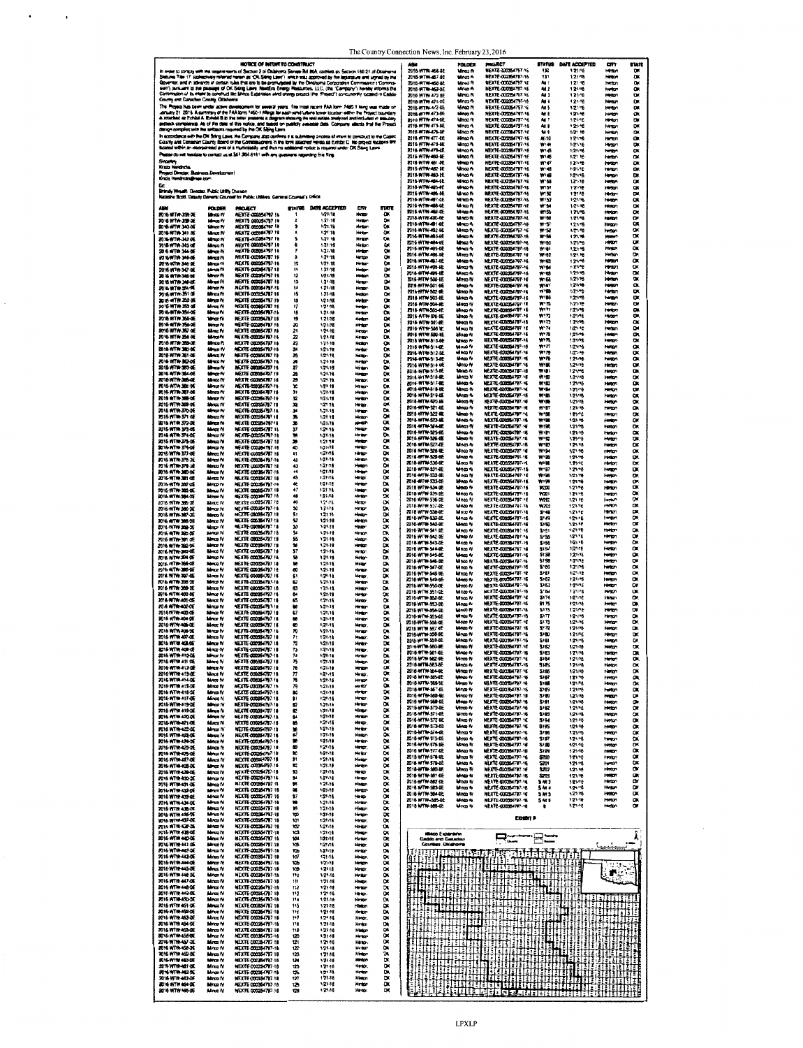|                                                       |                               | MOTICE OF INTERFTO CONSTRUCT                                                                                                                                                                                                                   |                       |                              |                              |                               | ASK                                      | <b>FOLDER</b>                 | <b>PROJECT</b>                                          | STATUS                        | <b>DATE ACCEPTED</b> | m                               | STATE                         |
|-------------------------------------------------------|-------------------------------|------------------------------------------------------------------------------------------------------------------------------------------------------------------------------------------------------------------------------------------------|-----------------------|------------------------------|------------------------------|-------------------------------|------------------------------------------|-------------------------------|---------------------------------------------------------|-------------------------------|----------------------|---------------------------------|-------------------------------|
|                                                       |                               | in arder to compay with the experiments of Secoce 2 of Divisions Sanate Bitl 805, codities as Secoce 189.21 of Divisionna                                                                                                                      |                       |                              |                              |                               | 2016 WTN ALAB                            | <b>Mines</b> fy               | MERTE 2005/07/27 16                                     | 130                           | 1.21.16              | Hattart                         | $\alpha$                      |
|                                                       |                               | Shinzow Tibe 17 (azbuczively referred remor: as "OR Siling Lines"), which was approved by the legislature end ugned by the<br>Governor, and in advance of certain rules that are to be promugated by the Owahoma Corporation Community (Commun |                       |                              |                              |                               | 2018 WTW-467-0E<br>2016-NTW-6846         | Mnos A<br>Mnoa N              | <b>NEXTE-DOCUMENTS?-16</b><br><b>NEXTE-000354797-1E</b> | 131<br>An t                   | 1.2148<br>1.21 %     | Hinton<br>Heter                 | <b>B86</b>                    |
|                                                       |                               | sen't pusuant to the passage of DK Biling Laws ReadEra Energy Reasurers. LLC, the "Campany's hereby informs the<br>Commission of its maint to construct the Minco Expension and shengy project the "Project") concurrently tocate              |                       |                              |                              |                               | 2016-WTW-469-8E                          | Mao A                         | NEXTE-000354797-16                                      | M <sub>1</sub>                | 121/16               | <b>harton</b>                   |                               |
| County and Canadas County, Oldshorts                  |                               |                                                                                                                                                                                                                                                |                       |                              |                              |                               | 2016 WTW 475 6E<br>2018-WTW 471-0E       | Uma N<br>Maca A               | NEXTE 00035 1797 16<br>NEXTE CODESCRIPT 16              | At 3<br>Ag i                  | 121.16<br>1.21.4은    | <b>Help</b><br>Hero             | U.<br>œ                       |
|                                                       |                               |                                                                                                                                                                                                                                                |                       |                              |                              |                               | 2016-WTW-472 OE                          | Mac N                         | <b>NEXTE-000354757-16</b>                               | An S                          | 1.21/76              | <b>HATCH</b>                    | œ                             |
|                                                       |                               | The Royal has been urban above development by executives and The mail nights that have that I have assimilated<br>January 21, 2018, A developy of the FAA born FASC I https://executivarial.ustand.isotary.offers his Project bac              |                       |                              |                              |                               | 2018-ATW 473-BE<br>2016 WTW 474-BE       | Minco fy<br>Umoo fy           | NEXTE-000054797-16<br>NEATE-DOOS-ITF-16                 | M I<br>41                     | 1,21,46<br>1/21/16   | <b>HATCH</b><br>Hinton          |                               |
|                                                       |                               | denge complex with the settlecks required by the OK Sibirg Laws                                                                                                                                                                                |                       |                              |                              |                               | 2018-WTW 475-6E                          | Mea 4                         | NEXTE COORGITTI-16                                      | An B                          | 121:46               | hanger                          |                               |
|                                                       |                               | In econological with the OK Sting Laws. the Company align opinions it is submitting a notice of ment to construct to the Cadob,                                                                                                                |                       |                              |                              |                               | 2018-WTW-C/S-MF<br>2016-ATTW 477-8E      | Uinco fv<br>Maar A            | <b>NEXTE-030064797-16</b><br>NEXTE-COOS 1797-16         | An S<br>Ail 10                | 1/21 16<br>12176     | herion<br><b>Horse</b>          |                               |
|                                                       |                               | Courty and Canadan County Board of the Commissioners in the firm assisted hereia as Europe C has proved exhibits by<br>Incored within an improvemed area of a municipality and their no additional notice is required under DK Sa              |                       |                              |                              |                               | 2016 WTN-475-BE                          | <b>Minco Re</b>               | NEXTE-CODES/TP7-16                                      | <b>W</b> 4                    | 1/21/15              | Herson                          |                               |
|                                                       |                               | Pease do nel tesiase to contact us al 541-304-5161 enth any guassers regarding this Ning                                                                                                                                                       |                       |                              |                              |                               | 2016-WTW-479-0E<br>2016 WTN-460-RE       | <b>Mnosh</b><br>Winca N       | MEXTE-DODS4797-16<br>WEXTE-DOORS4797-16                 | ۳×<br>W146                    | 1.21/16<br>1.2176    | <b>hardpot</b><br><b>Helton</b> | <b>SRSSSS</b>                 |
| Source<br>Krato Herebela                              |                               |                                                                                                                                                                                                                                                |                       |                              |                              |                               | 2115-WTW-451-RE                          | Whap h                        | <b>NEXTE-000364797-16</b>                               | 10 47                         | 1,21,46              | henton                          | œ                             |
| Project Director, Business Development                |                               |                                                                                                                                                                                                                                                |                       |                              |                              |                               | 2016 WTN-462-BE<br>2018-WTW-463-BE       | <b>Maco N</b><br>Maa N        | NEXTE COOSSITET 16<br>NEXTE 000354797-16                | W 48<br>we                    | 121.16<br>121/15     | mmon<br>Hangon                  | œ                             |
| Kralı Herdraks@nes tor                                |                               |                                                                                                                                                                                                                                                |                       |                              |                              |                               | 2016-WTW-454-0E<br>2016-WTW-485-06       | Maco N<br>Mnao N              | <b>NEXTE-DOCEATST-16</b><br><b>NEXTE-000054797-16</b>   | <b>W'56</b><br>W151           | 1,21.10<br>12176     | heriton<br>Hindan               | 믔<br>œ                        |
| Brindy Wealth Deector, Public Lttfly Disease          |                               | Natashe Scott, Daguty Gerera Cournet for Public Utilies, German Cournet's Dilios                                                                                                                                                               |                       |                              |                              |                               | 2015-WTW-406-6E                          | <b>Mnoo</b> fv                | <b>NEXTE-DOSSSATO7-16</b>                               | w.sz                          | 1.21/18              | <b>Median</b>                   |                               |
|                                                       |                               |                                                                                                                                                                                                                                                |                       |                              |                              |                               | 2018-WTW-497-CE<br>2016-WTW-458-0E       | Writer W<br>una N             | METTE-CODES/T97-16<br><b>NEXTE-COOSITY IF</b>           | W153<br>W <sub>2</sub>        | 121/18<br>1/21/18    | Henger<br>Herton                | 888888                        |
| F016 WTW-39h-2E                                       | <b>POLDER</b><br>Monte W      | PROJECT<br>NEXTE-COSMATR7 16                                                                                                                                                                                                                   | STATUS                | DATE ACCEPTED<br>1/21/18     | cπ<br>Henry                  | <b>STATE</b><br>CK            | 2015-WTW-469-DE                          | Winco Av                      | <b>NEXTE-000954797-16</b>                               | 4155                          | 1.21/18              | man                             |                               |
| 2016 WTW 259-3E                                       | Menos fy                      | MEXTE 000054797 10                                                                                                                                                                                                                             |                       | 1.21.16                      | Heder                        | œ                             | 2018-WTW-490-9E<br>2018-WTW-491-0E       | <b>Moco N</b><br>Mnoa 4       | NEXTE-000354797-16<br>NEXTE-000354757-16                | 47.58<br>41.57                | 1.21/16<br>1.21/15   | <b>Hardbarn</b><br>Haracon      |                               |
| 8016 WTW 340-08<br>2016-WTW-341-06                    | <b>Mance IV</b><br>Morce IV   | MEXTE DODGE(707 10<br>MEXTE COOSE (787 18                                                                                                                                                                                                      | ۰<br>٠                | 121.78<br>1.21.11            | Neter<br>Heter               | $\alpha$<br>$\bullet$         | 2016 WTW-492-8E<br>2016-WTW-493-6E       | Winco fy                      | NEXTE-000354747 YE<br>MEXTE COZIS 1797-16               | w se                          | 1,21,48              | tempo                           |                               |
| 2016-WTW-342-0E<br>2016 WTW-343 of                    | Marco IV                      | <b>NEXTE-OWNER FOR 18</b><br>NEXTE 000954747 18                                                                                                                                                                                                | 5<br>٠                | 1.2174<br>1.21.16            | Hirage<br><b>Hirton</b>      | 888                           | 2016 WTW 464-6E                          | Winco N<br><b>Mino</b> a fi   | MEXTE CODESITO? NE                                      | W 59<br>10-50                 | 121.16<br>1.21/16    | الكافاة<br>HANDY                | α<br>œ                        |
| 2016 ATTN: 344-08                                     | Manus N<br>Marcz IV           | <b>NEXTE COMOS 4797 14</b>                                                                                                                                                                                                                     | ,                     | 1.23.18                      | <b>Widay</b>                 |                               | 2015-WTW-485-0E<br>2016 WTW 496 8E       | Mazz 4<br>Winco fy            | MEXTE-000354797-18<br>NEXTE-DOCE-TAT 16                 | WI 81<br>wa                   | 1.21/18<br>121.10    | Hinton<br>Help.                 | œ<br>œ                        |
| 2016-WTW 346-0E<br>2016 WTW 346-26                    | Mycz IV<br>Marco IV           | NEATE-OODS6797 16<br>MEATE QQXXS4T97-10                                                                                                                                                                                                        | ٠<br>10               | 1.21.18<br>171.18            | ww<br><b>Horizon</b>         | œ<br>œ                        | 2016-WTW-497-RE                          | Minco fu                      | <b>KEITE-DODS4797-16</b>                                | W 53                          | 121.16               | Helen                           | o.                            |
| 2016 WTW 347 OE                                       | Menos fr                      | NEDITE-00006479718<br>NEUTE COOLS (197 18                                                                                                                                                                                                      | 11                    | 1-21-18<br>1/21-18           | Hetp                         | œ                             | 2918 WTW 495 AE<br>2018-WTW-499-02       | Una N<br>MacD N               | <b>NEXTE CORRECT 7-16</b><br>NEXTE-DOCK/TS7-16          | WH.<br><b>WY BS</b>           | 1.21/16<br>1.21/18   | Haram<br>Hear                   | 88888                         |
| 2016 ATTA-348 OF<br>2016 WTW 349-0E                   | Marco IV<br>Mance Pf          | MEXTE CODISCITE! IS                                                                                                                                                                                                                            | 12<br>13              | 1,21-78                      | Henry                        | ۰<br>œ                        | 2016-WTW-500-RE<br>2010-WTW-501-6E       | Minco IV<br>Mem fy            | NEXTE 000054747-1E<br>NEXTE COOSE4797-16                | W155<br>かい                    | $1.21 - 18$<br>121/4 | <b>Herton</b><br>hinton         |                               |
| 2016 8170 350-36<br>2016/07/08/36 08                  | Marco IV<br>Marca IV          | NEXTE-000064797-16<br><b>NEXTE-000354707 18</b>                                                                                                                                                                                                | 14<br>15              | 1.2142<br>1.21-18            | <b>Hence</b><br>Hallon       | D.<br>$\alpha$                | 2016-WTW-502-RE                          | Umao N                        | NEATE COURSE POT 16                                     | 11150                         | 1.2176               | <b>Harton</b>                   |                               |
| 2015-0714-252-36                                      | Mmcs N                        | NEXTE ODININATION IN                                                                                                                                                                                                                           | 18                    | 1/21/18                      | mta                          |                               | Z16-WTW-503-IE<br>7016-WTW-504-ML        | Maco A<br>Minas N             | NEXTE-DOGS 1797-16<br><b>NEXTE QUILS4797 1E</b>         | W!M<br>wπ                     | 121/18<br>1.21.16    | <b>Hotel</b><br>hentur.         | œ<br>œ                        |
| 2016-WTW-350-of<br><b>7016-WTW-354-0E</b>             | Merce IV<br>Mage IV           | NEXTE COORGIZED 16<br><b>NEXTE-000054797-16</b>                                                                                                                                                                                                | 17<br>18              | 1.2148<br>1.71.18            | Helph<br>Hyter               | 8888                          | E018-WTW-505-0E                          | Winco fi                      | <b>NEXTE-000364797-16</b>                               | WI TI                         | 12176                | htmon                           | ä                             |
| 2016 WTW 366-0E                                       | Marca IV                      | <b>MEXTE COCOSA797 18</b>                                                                                                                                                                                                                      | 19                    | 1.21/16                      | Herbert                      |                               | 2016-WTN-506-BE<br>2018-MTW-507-RE       | Minco A<br>timaa M            | <b>NEXTE-OXXENTRY-16</b><br><b>NEXTE-DOUGHTS-16</b>     | W:71<br>wn                    | 1/21/16<br>12176     | Himon<br><b>HMEN</b>            | ă                             |
| <b>2014 OFTW-356-3E</b><br>9016 WTW 367 OE            | Maga N<br>Macc IV             | <b>NEXTE 00084797 18</b><br><b>MEXTE 000054767 18</b>                                                                                                                                                                                          | 20<br>21              | 10108<br>12146               | Hindan<br>Hrap               | œ<br>о                        | 2016-WTN-506 BE<br>2016-WTW-509-NE       | Vira N<br>Mneo M              | <b>NEXTE-DODS#TWI *E</b><br><b>NEXTE 4203354767-15</b>  | W 74<br>かろ                    | 120.12<br>12146      | Herbin<br><b>Heriton</b>        |                               |
| 2016 WTW 356 06<br>7016 WTW-359-3E                    | Marys IV<br>Mrca IY           | <b>NEXTE-000054797-16</b><br><b>NEXTE 000054797 18</b>                                                                                                                                                                                         | z<br>n                | 1.71.18<br>1.71.18           | Hiram<br>Hsitur              | œ<br>$\bullet$                | 2018 WTW-310-ME                          | lango il                      | <b>NEXTE-CONTENTS 1207-16</b>                           | W.R                           | 1.21/16              | <b>Haraon</b>                   | $\frac{1}{\alpha}$            |
| 2016 WTW 380-0E                                       | Mmz N                         | MEXTE CODOS4797-19                                                                                                                                                                                                                             | 34                    | 1/21.78                      | Herbur                       | œ                             | 2015 WTW-511-DE<br>2016-WTW-512-SE       | Maa N<br>Mnaa IV              | <b>NEXTE ATTACHED - 16</b><br><b>NEXTE COOSITY! G</b>   | $W^*T$<br>$W^*D$              | 1/21/16<br>1/21-45   | Horsch<br>Helen                 |                               |
| 2016 WTW 361 OE<br>7016 1970 102-06                   | Mez IV<br>Manus N             | MEXTE COORGATE? 10<br>NEXTE 000051717-14                                                                                                                                                                                                       | ×<br>×                | 1.21.16<br>1.23-14           | leto.<br>Netar               | œ                             | PS14-WTW-513-RE                          | Mnao N                        | <b>NEXTE CONSULTS: 15</b>                               | w to                          | 121/18               | <b>Horsey</b>                   | <b>SBSS</b>                   |
| 2018 WTW-383-0E                                       | Monas ful                     | MEXTE 000354797 16                                                                                                                                                                                                                             | n                     | 1.21.18                      | Widon                        | Š                             | 2016 WTW-514 DE<br>2018 WTW-515 BE       | Minco Ar<br>Waa 4             | <b>NEXTE COOSSITUT-16</b><br><b>MEXTE-JOICIS4797-16</b> | ₩R<br>wiet                    | 1.21/16<br>13116     | Helph<br>Hargon                 | œ                             |
| 2016 0/18-164-08<br>2016-WTW-365-0E                   | <b>Marco</b> r fv<br>Monas IV | MEXTE CONSULTS? 19<br>MEATE COORGANY 18                                                                                                                                                                                                        | z<br>29               | 1,21.18<br>1,21.18           | <b>Hinday</b><br>Hingan      | œ                             | 2016-WTN-516-ML                          | Mnoo N                        | <b>NEXTE-DOUGHTST-16</b><br><b>WEXTE-DIRECTOR IS</b>    | 青塚                            | 1.21/18              | mm                              | ж                             |
| <b>R'S NTW 38-26</b>                                  | Mange fy                      | <b>MEXTELOOOLSERY IS</b>                                                                                                                                                                                                                       | ×<br>۰,               | 12111<br>1.21.16             | <b>Wheat</b><br><b>Hodor</b> | ă                             | 2016-MTW-517-6E<br>2016 WTW-518-6E       | ilinco fu<br>Vinco fr         | <b>NEXTE COTTEMPRINE</b>                                | W.EI<br>wы                    | 121/16<br>1.21/6     | Hangon<br>mon                   | œ<br>α                        |
| 9016 NTW-387-0E<br>2016 WTW 30846                     | Manus fy<br>Mongs fy          | MEXTE 000054797 16<br>MEDITE-000054797-16                                                                                                                                                                                                      | x                     | 1/21.19                      | Helpr                        | œ                             | 2015 WTW-519-EE<br>2015-WTN-523-BE       | Mnas N<br>Waa N               | MEXTE CODE 1797-15<br>REATE-CODE ITY7-16                | W.B<br>wm                     | 1.21/16<br>1/2748    | Hengen<br>Heron                 | œ                             |
| 2016-WTW-309-96<br>2016 WTW-370-0E                    | Mecz IV<br>tênge ty           | MEXTE COOSSA707 10<br>NEXTE-COOLS (797-16                                                                                                                                                                                                      | <b>x</b><br>y         | 12118<br>1.71.18             | Hrto<br><b>Hings</b>         | œ<br>D.                       | 2016-WTW-521-EE                          | Winco fy                      | NEXTE-COOPENTRA-NE                                      | か町                            | 121/15               | <b>HARDY!</b>                   | ä                             |
| 2016 WTW-371 48                                       | Marca fy                      | MEXTE 000954797 10                                                                                                                                                                                                                             | 35                    | 1.21 18                      | Hintor                       | ۰                             | 2016 ATTW-322-RE<br>2018-WTW-523-BE      | <b>Mmm</b> N<br>Mnas N        | <b>NEXTE CLOSE FOR 16</b><br><b>NEXTE CONSECT 16</b>    | w sa<br>w m                   | 12006<br>1/21/12     | <b>Hinton</b><br><b>HARDY</b>   |                               |
| 2016 NTW 372-36<br>2016-WTW-373-0E                    | Meta N<br>Morce fy            | MEXTE 000264797-16<br><b>NEXTE 000054797 18</b>                                                                                                                                                                                                | x<br>$\mathbf{J}$     | 1,21.75<br>1.27.15           | Ninter<br>Hesp               | œ<br>œ                        | 2016-WTM-5PAAE                           | Maco N                        | NEXTE-DOOR ATST- VE                                     | W:90                          | 1.21/26              | <b>Hamon</b>                    | 8888                          |
| <b>2014 ATW 374-06</b>                                | <b>Manus IV</b>               | <b>NEXTE-200054797-16</b>                                                                                                                                                                                                                      | 39                    | 1/21-10                      | Hritor                       | ă                             | 2016-WTW-925-0E<br>2016 WTW-526-0E       | Winco fy<br>Umao Iv           | <b>MEXTE-COCCINERY 16</b><br><b>NEXTE-000354797-16</b>  | w.m<br><b>W 52</b>            | 1,21/18<br>いまりいる     | Harton<br><b>Henton</b>         | œ                             |
| 2016 NTW 375-0E<br>2016-NTW 375-06                    | Monas fu<br>Mmrze Py          | MEXTE 000354797 18<br>MEXTE COOLS IT 7 16                                                                                                                                                                                                      | ×<br>۰                | 1.21.18<br>1.23.18           | Hotel<br>Help                | Ď.                            | 2016-WTM-527-0E                          | Mnas N                        | <b>NEXTE-002561707-15</b><br><b>NEXTE-COCCE4797-18</b>  | ww<br>W 94                    | 121.18               | <b>Hardcon</b><br>renor         | œ                             |
| 2016 WTW 177-08<br>2016 WTW-378-2E                    | Mmcc IV<br>Marco IV           | NEXTE-UDDES OFF 18<br>NEXTE-000064797-16                                                                                                                                                                                                       | 41<br>42              | 1.2146<br>1/21-18            | He bar<br>Hinter             | 1668                          | 2016-WTW-526-RE<br>2016-WTW-529-6E       | Mnoo IV<br>Waa A              | <b>NEXTE-CORSE PR7-16</b>                               | wm                            | 1,21.16<br>121.4     | Integr                          | œ                             |
| 2016 NTW-J79-20                                       | Marsza fy                     | NEXTE QOOSSKRIZ !!                                                                                                                                                                                                                             | 43                    | 1.21.76                      | Hoten                        |                               | 2018-WTW-530-6E<br>2015-WTW-531-RE       | Minco IV<br>Uinas A           | <b>NRATE COOSSITE: 16</b><br>NEXTE-DOGS4797-16          | W-95<br>41.97                 | 1.21.16<br>121/18    | Herbert<br>Harap                |                               |
| <b>2016 WTW-380-01</b><br>2016-WTW-381 OE             | Morce fy<br>Monce IV          | NEXTE COORS (T) ? !!<br>MEXTE COOSSI797 10                                                                                                                                                                                                     | 44<br>45              | 1/21/18<br>1.2116            | <b>Help</b><br>Hrap          | œ<br>œ                        | 2016-WTW-532-BE                          | Minas N                       | <b>NEXTE-002354797-16</b>                               | ₩.18                          | 1/21/16              | himon                           | 888                           |
| 2016-WTW 302-06                                       | Mage IV                       | NEXTE 000054797-16<br><b>NEXTE 000654797 18</b>                                                                                                                                                                                                | u<br>47               | 1/21.18<br>1.21.15           | Hrex                         | D.<br>œ                       | 四级型导型线<br>7018 WTW-534 of                | Maa N<br>Manao fy             | NEXTE COTYS FIRT 15<br><b>NEATE-DOCK 1707-16</b>        | w m<br>W.DJ                   | 121/16<br>1.21/16    | <b>Hardcan</b><br>Heart         |                               |
| 2016-WTW-385-0E<br>2016 WTW-384-09                    | Monus IV<br>Mage IV           | MEXTE 000064797 16                                                                                                                                                                                                                             | ø                     | 1,21,15                      | Hany.<br>Hrta                | OX                            | 2018-WTW-535-BE<br>2016-NTW-536 FE       | Mnao N<br>Maca N              | <b>NEXTE-000364737-16</b><br><b>NEXTE-030354797-16</b>  | W201<br><b>W2ES</b>           | 121/18<br>1.21 托     | <b>hardson</b><br>Henco         | 1888                          |
| 2016 WTW 386-38<br>2016-WTW-386-3E                    | <b>Abrux IV</b><br>Mage IV    | MEXTE 000954787 18<br>MEXTE COLLISITY !!                                                                                                                                                                                                       | ¥9<br>×               | 1.2*16<br>1,21.18            | Heter<br>Hrto                | $\bullet$<br>o.               | 2016-WTW-537-4E                          | <b>WACO</b> N                 | NEJTE (100364797-16                                     | 10723                         | 121.78               | <b>HYKA</b>                     |                               |
| 2016 WTW-307-3E                                       | Monaco IV                     | NEXTE GAGG4797 18                                                                                                                                                                                                                              | St                    | 1.21.15                      | سيواه                        | Ö.                            | 2018 WTW-538-NE<br><b>BUG WTW-SSH-EE</b> | Mnop N<br>Maco A              | NEXTE COLOSITY7-18<br><b>NEXTE-DOUGHTT-16</b>           | 3.48<br>54                    | 1:21:16<br>121/16    | Helen<br>Hotel                  | <b>R 8 8</b>                  |
| 2016 AFTW 388-0E<br>2016-WTW 359-36                   | Monte IV<br>Mago IV           | <b>NEXTE 005/06/197-18</b><br>MEXTE 00064797 19                                                                                                                                                                                                | 52<br>u               | 121.18<br>1.21.18            | Hy ton<br>Heart              | ĎK<br>$\overline{\mathbf{a}}$ | 2016-WTM-5A0-0E                          | Maca N                        | NEXTE-000S4797-16                                       | なる                            | 1.21.16              | Hinton                          | œ                             |
| 2016 WTW 380-00                                       | Mango IV                      | <b>NEXTE 00005479718</b>                                                                                                                                                                                                                       | я                     | 1.21.18                      | <b>Hirapr</b>                | α                             | 2016 WTW-541 OE<br>2016-WTW-542-DE       | Mra N<br>Umoo IV              | NEXTE-000054797-16<br><b>NEXTE QUISH 797-16</b>         | 5151<br>5:56                  | 121/18<br>1,21,76    | <b>Hantor</b><br>m              | QK<br>α                       |
| 2016 WTW 301 of<br>2016/07/10 362-06                  | Marca (Y<br>Mez IV            | <b>NEXTE-00025479711</b><br>NEXTE COOSE (TV7 19                                                                                                                                                                                                | 鋁<br>낮                | 1:21:18<br>1,21.18           | Habu<br>Herbur               | 88                            | 2018-WTW-543-0E<br>2016 WTW-544-4E       | Mna h<br>Mnoa N               | <b>NEXTE-200354787-16</b><br>NEXTE CODE 4757 16         | 5:56<br>3157                  | 121/16<br>1/21/18    | <b>tendor</b><br>Henton         | 3888888                       |
| 2016-WTW-388-0E<br><b>RUS WTW.294 OF</b>              | Maco IV<br>Mengo IV           | MEKTE ODDANA 797 14<br><b>NEXTE COOLS ITU !A</b>                                                                                                                                                                                               | 57<br>ø               | 1,21.16<br>1.21.18           | Hrto<br>Hrta                 | ۰<br>O.                       | 2016-NTW-5-5-BE                          | Waan A                        | NEXTE-DECEMBER 16                                       | 5150                          | 121.15               | hangon                          |                               |
| 2016 NTW-356-0E                                       | Merca fy                      | MEXTE 000354797 18                                                                                                                                                                                                                             | Sê                    | 12118                        | Hinter                       | 9                             | 2015 WTW-546-0E<br>2018 WTW-547-0E       | Winco IV<br><b>Mnan</b>       | NEKTE-DOCENTRY-16<br>NEXTE-000054787-16                 | 5150<br>5'00                  | 1.21.16<br>1.21/26   | <b>Hinton</b><br><b>Hinton</b>  |                               |
| 2016 WTW 386-06<br>2316 WTW-307-05                    | Mercur PV<br>Mexic IV         | NEXTE-000064797-16<br><b>NEXTE COOM L707 15</b>                                                                                                                                                                                                | œ<br>61               | 1.21.10<br>1.29.18           | waz<br>Henor                 | Q.                            | 2016-WTW-548-NE                          | <b>Mnog</b> IV                | <b>MEXTE COOSTITUITE</b>                                | $5 - 51$                      | 1/21-12              | <b>Hymon</b>                    |                               |
| <b>RUL ATTH 238 2E</b><br>3016 WTW-389-2E             | Mag N<br>Monaca IV            | MEATE COOLS (197-18)<br>NEXTE-COONS4797 18                                                                                                                                                                                                     | 62<br>ø               | 1.71.18<br>121.18            | Hyter<br><b>Hinton</b>       | α                             | 2016 WTW-549-0E<br>2016 WTW-550-0E       | Winza A<br>Mmoo (V            | <b>NEXTE-DODIS4707-16</b><br>MEXTE QOZE 1797-16         | 5+52<br>\$153                 | 121/16<br>121/16     | Himph<br><b>HMSO</b> T          |                               |
| 2016 WTW-400-06                                       | Monar IV                      | MEXTE 000064797-16                                                                                                                                                                                                                             | 64                    | 1.21.11                      | <b>Hankur</b>                | 1888                          | 2015 NTW 551-CE<br>2016-WTW-352-6E       | Mnoo n<br>Winco N             | MENTE-CODES/797-16<br><b>NEXTE-DOCUS 1797 16</b>        | $5 - 54$<br>5174              | 12178<br>1/21/16     | <b>HARN</b><br>himan            | œ                             |
| 2016-WTW-401-0E<br>2016 WTW-402-0E                    | Mout IV<br>Maga IV            | MEXTE QUOSSITE? 18<br><b>MEXTE-COOS4T97.16</b>                                                                                                                                                                                                 | 65<br>w               | 1.21.18<br>1.21.18           | Heize<br><b>Horitan</b>      | O.                            | 2018 WTW 453-0E                          | Maa 4                         | <b>MEXTE-000364797-16</b>                               | 8175                          | 121.16               | <b>Innio</b>                    |                               |
| 2016 WTW-403-09                                       | Mman IV                       | <b>MEXTE 000564797 18</b>                                                                                                                                                                                                                      | 47                    | 1.27.18                      | Hadon                        | œ                             | 2016 WTW-554-DE<br>2018-WTW-565-0E       | Winco N<br>Mnas N             | <b>WEXTE-000364797-16</b><br>NEXTE COOPS/TREAD          | 5175<br>5177                  | 121/16<br>1-21/16    | man<br>Hence                    | 8888                          |
| <b>3016 WTW-404 OE</b><br>2016-WTW-406-0E             | Mez IV<br>Max IV              | MEXTE OCCOUNTRY IN<br>MEATE COOPER TO 16                                                                                                                                                                                                       | æ<br>e                | 1.21.18<br>1,21.18           | Hirap<br>Hetor               | ă                             | 2018-P/TV-355-SE                         | Mazo N                        | <b>WEXTE-DOOS4797-YE</b><br><b>NEXTE-000064707-15</b>   | 5173<br>5.77                  | 1:21-16<br>121/18    | Himan                           |                               |
| 2016 WTW-AU-06<br>2016 WTW 407-0E                     | Mange IV<br>Monco IV          | MEATT-000054797 16<br>MEXTE COOSS4797 18                                                                                                                                                                                                       | 70<br>$\overline{\ }$ | 1.21.18<br>121.18            | Hrtor<br>HNOT.               | œ<br>œ                        | 2016 WTW-557-8E<br>2016-WTW-568-6E       | Mac N<br>Maa N                | <b>NEXTE-DODE 4797-16</b>                               | \$180                         | 121/16               | <b>Herton</b><br><b>Henton</b>  | ö                             |
| 2016 WTW 428 0E                                       | <b>Morgan</b> W               | NEXTE-000964797-16                                                                                                                                                                                                                             | P.                    | 421-18                       | Heter                        | $\overline{\mathbf{x}}$       | 2015-WTW-559-0E<br>2916-WTW-560-RE       | Maco N<br>Vinco ff            | <b>NEXTE-000354767-16</b><br><b>HEXTE-DOOSN'AT-16</b>   | 5181<br>3182                  | 121.15<br>1/21/18    | <b>HARDY</b><br>Hitlery         | œ<br>œ                        |
| <b>2016 WTW-110-06</b>                                | Mage IV                       | NEXTS-COOS-PIC-18                                                                                                                                                                                                                              | 74                    | 1.214<br>1.79-18             | Heter                        | D.                            | 2018-MTN-561-EE                          |                               | <b>NEXTE-QUILS 1797-18</b>                              | <b>SIE</b>                    | 1.21.16              |                                 | ๛                             |
| 2016 WTW 411 OE                                       | Monro IV                      | <b>NEXTE 000364797 18</b>                                                                                                                                                                                                                      | た                     | 121.18                       | <b>Hindow</b>                | $\alpha$                      | 2015 WTW-562-RE<br>2318-WTW-563-8E       | Winto fi<br><b>Uhnas fy</b>   | NEXTE COCCISATE: 16<br><b>WEICHE-JOONS (787-15</b>      | 3184<br>5185                  | 121.76<br>121/16     | <b>Henc</b> y<br>Hetter         | U.<br>ж                       |
| 2016 WTW-412-OF<br>2016-WTW 413-2E                    | Motor N<br>Mince IV           | MEXTE QODIS4797-18<br>MEXTE CODISATIT 15                                                                                                                                                                                                       | 70<br>π               | 1.21-18<br>1,21,15           | <b>Hydron</b><br>He bor      | $\alpha$                      | 2016-NTW-564-0E<br>2016 WTW-565-4E       | Winca fy<br>Windo fy          | NEXTE QUILE 4797 YE<br>NEXTE-DODG4767-16                | 5185<br>5187                  | 1,21/18<br>12176     | himon<br>tenton                 | œ                             |
| <b>Z016 WTW-414 OE</b><br>2016 WTW +15-0E             | Macu IV<br>Mince IV           | <b>NEXTE 000364797-16</b><br>NEXTE COOSE/767 th                                                                                                                                                                                                | ٦,<br>为               | 1.21.16<br>1.21.18           | <b>HINDP</b><br>mar          | ö                             | 2015 HVTN-566 6E                         | Minao Iv                      | <b>NEXTE-000354797-16</b>                               | 51EL                          | 121.16               | Hompy                           |                               |
| <b>2016 WTW-418-2E</b>                                | Mmas IV                       | NEXTE 000354797-10                                                                                                                                                                                                                             | ×                     | 121.18                       | xistar                       |                               | 2018-WTW-567-8E<br>2516-WTW-508-ML       | Mnco N<br><b>Mnop fv</b>      | NEXTE-000354787-16<br><b>NEXTE-002354797-18</b>         | 3'69<br>5199                  | 1.21/18<br>1.21/18   | heton<br>Helper                 |                               |
| 2016-WTW-417-0E<br>30-014-WTW-419-DE                  | Mince IV<br>Mroz IV           | NEXTE 030254797-18<br>NEXTE-000154797-16                                                                                                                                                                                                       | Ĵ١<br>ø               | 121.15<br>1.21.16            | Henge<br>lirtar              | 88888                         | 2016 WTW-560-6E                          | Mnas N                        | <b>NEXTE-000354797-16</b>                               | 5181                          | 1/21/18              | Hinton                          |                               |
| 2016 WTW 419-0E<br>8016 WTW-420-06                    | Marca IV<br>Mrcz IV           | NEXTE COOSINTET 18<br>MEXTE CODISATION                                                                                                                                                                                                         | C                     | 1.21.18<br>1/21/18           | Hinter.<br>mar.              |                               | 2016 WTW-573-8E<br>2018-WTW-571-0E       | <b>Winco N</b><br>Wnco N      | NEXTE-000354797-16<br><b>MEXTE-000354797-16</b>         | 5.92<br>\$183                 | 1.21.16<br>121/16    | http<br>Herson                  |                               |
| 2016-WTW-421-0E                                       | Mace IV                       | <b>NEXTE 000251757-18</b>                                                                                                                                                                                                                      | ű                     | 1.21.16                      | Hrer.                        | $\alpha$                      | 2016-WTW-572-8E<br>2018 WTW-573-0E       | Mnoo fy<br>Mnor N             | <b>NEXTE-QOOSHIT!!!</b><br><b>NEXTE-COX354767-16</b>    | 3.04<br>3195                  | 121/18<br>121.12     | himon<br>tenton                 |                               |
| 2016 WTW-422-0E<br>7016 WTW-422-0E                    | Mess IV<br>Marcas IV          | <b>NEXTE-00005 (797-18</b><br>NEXTE COOSE 717 16                                                                                                                                                                                               | 医等物板                  | 1.21.15<br>1.21.16           | Netz<br>History              | <b>88888</b>                  | 2015 WTW-SF4-6E                          | Mnsa N                        | NEXTE QOJOSHT97-16                                      | 3/85                          | 1.21/16              | Herbyn                          |                               |
| 2016 WTW 424-DE                                       | <b>MACE ?V</b>                | MEXTE-OCCUSARI? 19                                                                                                                                                                                                                             |                       | 1.21.18                      | <b>Hirtor</b>                |                               | 2318-W744 5-3-66<br>2016-WTW-575-BE      | Winco fy<br>Winco IV          | <b>WEXTE COOSTATS IN</b><br><b>NEXTE-000964797-16</b>   | SIF.<br>SI関                   | 121.16<br>1/21/16    | HIMPO?<br>Hinton                |                               |
| 2016-WTW-425-DE<br>FOIS WTW-425-0E                    | Maca IV<br>Meso IV            | NEXTE-000254797 16<br>NEXTE-DOCUS (797-18                                                                                                                                                                                                      | ×                     | 1.2148<br>1,21.18            | Henor.<br>Netor              |                               | 2016 WTW-577-4E<br>2015 W7W-578-RE       | Mnoz fr<br>Minco IV           | NEXTE-CODSATTA-1E<br><b>NEXTE QDOCENTRY 16</b>          | 5199<br>ŞZIQ                  | 12146<br>121.76      | tempr<br>Herby:                 |                               |
| 2016 NTW-427-0E<br>2016-NTW-K28-DE                    | Mince IV                      | <b>NEXTE 000354797-19</b><br>NEXTE CODISCITY? 15                                                                                                                                                                                               | Ĵ١<br>ĸ               | 121.16<br>1,25.18            | Kinter<br>Nanton             | œ                             | 2016-WTW-579-0E                          | <b>Umco N</b>                 | <b>NEITE CODES FITT-16</b>                              | \$201                         | $1.21 - 8$           | hongon                          |                               |
| 2016 WTW-L29-DE                                       | Marcz IV<br>Mnot IV           | MEXTE-DODES (707-19                                                                                                                                                                                                                            | 33                    | 1,21,16                      | wo                           | Œ                             | 2016 WTW-580-8E                          | <b>Maco IV</b><br>Minto fu    | MEXTE COOSTIT97 16<br><b>NEXTE-000054707-15</b>         | \$202<br>Sans.                | 1,21,16<br>121.4     | Hinton<br><b>Help</b> y         |                               |
| 2016 NTH-430-26<br>2016 INTIN-431 0E                  | Mahora (V<br>Mrca fr          | NEXTE CODISTRAT<br>NEXTE COOSE (797 18                                                                                                                                                                                                         | ×                     | 1.71.16<br>1.21.76           | Hran<br>Hinton               | o.                            | 2018-WTN-581-EE<br>2116 WTW 382-DE       | Mnoo IV                       | <b>NEXTE-000354797-16</b>                               | SM3                           | 1/21/16              | Hengon                          |                               |
| 2014-WTW-432-00                                       | <b>Mrco fv</b>                | MEXTE CODIBATO? 16                                                                                                                                                                                                                             | 第3                    | 121.78                       | Herber                       |                               | 2016 WTW-583-0E<br>2316 WTW-584-0E       | Mna N<br>Winto IV             | NEXTE COOSTAT-1E<br><b>NEXTE-COOLS FIRT-1E</b>          | SAT 4<br>5413                 | 121.18<br>1,21.16    | Heger<br><b>Henton</b>          |                               |
| 2016 WTW-433-0E<br>2016 WTW-434-0E                    | Mezu IV<br>Mrez IV            | NEXTE COOPSITE? 16<br>NEXTE-000054797-19                                                                                                                                                                                                       | 97                    | 1.21.18<br>1.21.18           | Henor<br>Hrtur               |                               | 2016 WTW-505-0E                          | <b>Minco N</b><br>Mrop IV     | NEXTE-CODSS4797-16                                      | 5 M S<br>$\ddot{\phantom{1}}$ | 121/18<br>1.21.12    | HMON<br>menor                   | <b>最后的复数形式的复数形式的复数形式 医皮肤的</b> |
| 2016 WTM 438-0E<br>30% WTW 436-96                     | Menza fy<br>Marco IV          | <b>NEXTE 00035179718</b><br><b>NEXTE OPPOSATO 7-18</b>                                                                                                                                                                                         | w<br>Yo<br>w          | 1.21.18<br>1.21-18           | Hinter<br>Henton             |                               | 2018 WT <del>W 585 OL</del>              |                               | HEATE-GOODS FOR THE                                     |                               |                      |                                 |                               |
|                                                       | MAGU IV                       | <b>NEXTE-000254707 18</b>                                                                                                                                                                                                                      | 10t                   | 1.21/18                      | Hinter                       |                               |                                          |                               | <b>EXHIBIT B</b>                                        |                               |                      |                                 |                               |
| 3016 WTW-437-0E                                       |                               | NEXTE-000064797-16                                                                                                                                                                                                                             | w                     | 1.21.18<br>1.21-18           | Heter<br>Hinter              |                               | Mince Expansion                          |                               |                                                         |                               |                      |                                 |                               |
| <b>2016 WTW-CP-3E</b>                                 | Macu fy                       |                                                                                                                                                                                                                                                | œ                     |                              |                              |                               | Caddo and Canadian<br>Courtes, Oklahora  |                               |                                                         |                               |                      |                                 |                               |
| 2016 WTW 430 OE<br>2016 WTW 440 OE                    | Merus IV<br>Macc IV           | MEKTE 000854797-18<br>NEXTE COLLECTOR 15                                                                                                                                                                                                       |                       | 1/21/18                      | Hattan                       |                               |                                          |                               |                                                         |                               |                      |                                 |                               |
| 2016-WTW 441 OF<br>2016 WTW-469 OE                    | Menot IV<br>Mrus IV           | NEXTE-000264797-18<br>NEXTE QUOSTRA!                                                                                                                                                                                                           | 104<br>105<br>106     | 1.2108<br>1.21.18            | Hetor<br>Hetar               |                               | ĦΞ                                       |                               |                                                         |                               |                      |                                 |                               |
| 2016 WTW-443-06                                       | Maga fy                       | NEXTE COOSSATE? 10                                                                                                                                                                                                                             | 107                   | 1.71.16                      | HHzn                         |                               |                                          | <b>HARRITISTA</b>             |                                                         |                               | T.h<br>E             |                                 |                               |
| <b>1016-NTW-444-0E</b><br>2016 WTW-445-DE             | Meur IV<br>Mmaz fy            | MEXTE CODISGRATION<br>MEXTE-000354797-10                                                                                                                                                                                                       | 106<br>١œ             | 12111<br>1.21/16             | Hetpr<br>Henter              |                               |                                          | HHHH                          |                                                         |                               |                      |                                 |                               |
| 2016-WTW-446-3E<br>2016 WTN 447-0E                    | Maco IV<br>Manus fy           | NEKTE QODISKRIP!!!<br>MEXTE-000564707-10                                                                                                                                                                                                       | 110<br>111            | 1,21.16<br>1.21.18           | Mether<br>Hetp               | 65566666666666666             |                                          |                               | ни:<br>e                                                |                               | τ                    |                                 |                               |
| 2016 WTW 448-0E                                       | Mercur fy                     | NEXTE-000064797-16                                                                                                                                                                                                                             | 1:2                   | 1,21.18                      | Herbur                       |                               |                                          | İ                             | É                                                       |                               |                      |                                 |                               |
| 2016-WTW-449-0E<br>2016 WTW-450-DE                    | Marco IV<br>Mage IV           | NEXTE-000254797 10<br>MEATTE-000064797-18                                                                                                                                                                                                      | 113<br>114            | 12146<br>1,21-18             | Hang-<br>Hirtor              | 888<br>O.                     |                                          |                               | İ<br><b>THF</b>                                         | ĦЕ                            |                      |                                 |                               |
| 2016 WTW-451 OE                                       | Marsa M                       | NEXTE COOKSIZER 18                                                                                                                                                                                                                             | 115                   | 12145                        | Hinton                       |                               |                                          | ΠI<br>H<br>r ti<br><b>THE</b> | 珊瑚                                                      | ПĒ                            |                      | т                               |                               |
| <b>2016-WTW-452-0E</b><br>2018-WTH-453-DE             | Mince IV<br>Munca Fe          | <b>NEXTE DOCUS 4197-18</b><br>NEXTE CODESCRIPT 18                                                                                                                                                                                              | 116<br>117            | 1,21-18<br>12148             | Heter<br>Hency.              |                               |                                          |                               |                                                         |                               |                      | H<br>$\ddot{\ddagger}$          |                               |
| 2016 WTW 454 OF                                       | Monce IV                      | NEXTE-000354797-16                                                                                                                                                                                                                             | ١×                    | 1.21-18<br>1.21-18           | Hriter<br><b>History</b>     |                               | al Maduration and                        | <b>ANTI LA</b><br>بزائبا      |                                                         |                               | $\frac{1}{2}$        |                                 |                               |
| 2016 WTW-455-OE<br><b>BUIGHNTW-ASS-DE</b>             | Mince IV<br>Marca fy          | <b>NEXTE COOSTATE! 18</b><br>NEXTE COOSEN'97-16                                                                                                                                                                                                | 118<br>120            | 1,7148                       | Hrtur                        |                               |                                          | 疆<br>riftii                   |                                                         |                               |                      |                                 | Ī<br>Ī                        |
| 2016-WTW-457-3E<br>2016 WTW-458-36                    | Miraz IV<br>Marco IV          | NEXTE (XXXS4797 11)<br><b>MEXTE OCCUS (797-16</b>                                                                                                                                                                                              | 121<br>w              | 1,2748<br>1/21-18            | Hang,<br>Heigr               | 888888<br>O.                  |                                          |                               |                                                         |                               | H                    | mater Real                      |                               |
| 2016 WTW 459 OE                                       | Mincs IV                      | <b>NEXTE COOSIG4797 16</b>                                                                                                                                                                                                                     | 123                   | 1.21.18                      | Hinton                       |                               | 眻<br>tesire:                             | 跚<br>÷                        |                                                         |                               |                      |                                 |                               |
| <b>2016-1111-160 DE</b><br>2015-WTW-481-6E            | Minze fy<br>Mas IV            | NEXTE CODE4797-18<br>NEXTE COXIS CAT-18                                                                                                                                                                                                        | u٧<br>123             | 121.15<br>1.2146             | Ninton<br>Hender.            | 998                           |                                          |                               |                                                         |                               |                      | 鵬                               | ili<br>Historia               |
| <b>RIGHTN-462-9E</b>                                  | Mnaz IV                       | <b>NEXTE-ODDAFFREE 16</b>                                                                                                                                                                                                                      | t%                    | 12148                        | Hydra                        | D.                            | 부서                                       |                               |                                                         |                               | I                    |                                 |                               |
| 2016 WTW 463 OF<br>2016 NTW 464 OK<br>2016 WTW 465-DE | Minco IV<br>Mrco IV<br>Max IV | MEXTE 000354797.10<br>MEXTE 000364797-16<br>NEXTE 000254797-16                                                                                                                                                                                 | 127<br>129<br>129     | 121.18<br>1,21-18<br>1.21.18 | Hinter-<br>Hetpe<br>Hango    | ă                             | ∯<br>∰                                   | <u>Hill</u><br>in halml       | 电毛果混性性性性                                                |                               | 12                   | Ŧ                               | Ħ                             |

The Country Connection News, Inc. February 23, 2016

 $\ddot{\phantom{a}}$ 

 $\ddot{\phantom{0}}$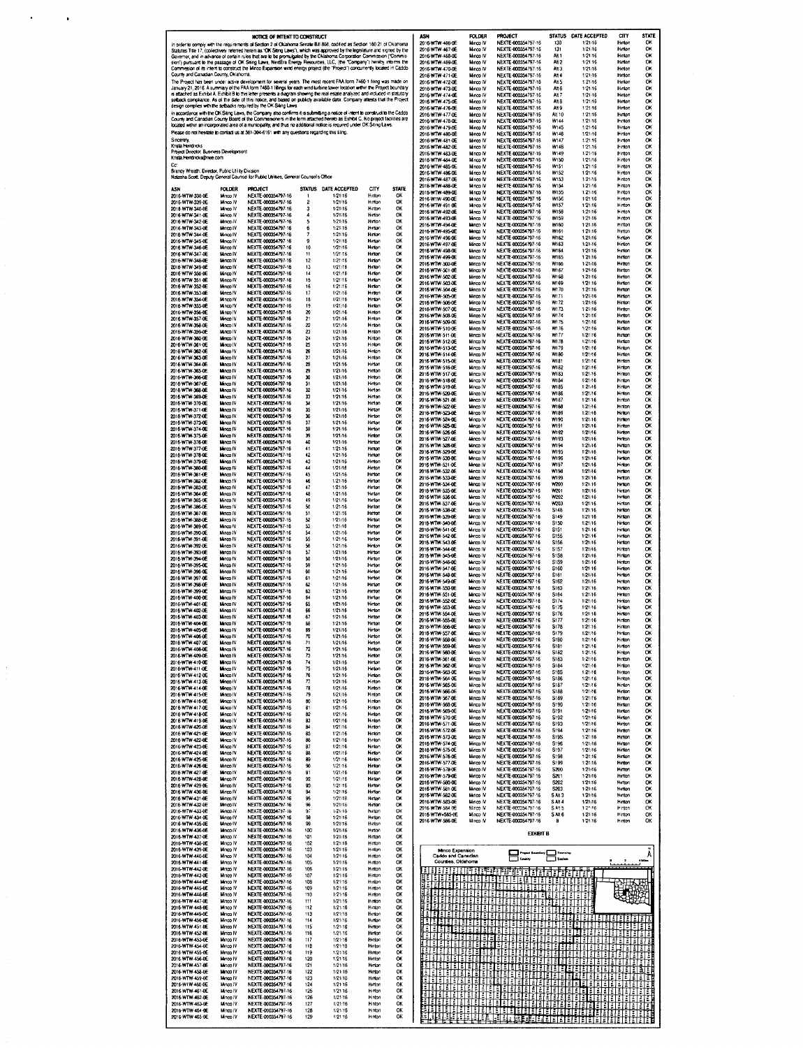|                                                                                                                                                                                                                                                                                          |                                                                                                                                  | NOTICE OF INTENT TO CONSTRUCT                                                                                                                                                                                                                               |                                    |                      |                                          |                 | ASH                                            | <b>FOLDER</b>         | <b>PROJECT</b>                                                                                                                                                                                                                                                                                                                                                                                                                                                                                                    |                                                   | STATUS DATE ACCEPTED                                                                                            | cm                       | STATE                         |
|------------------------------------------------------------------------------------------------------------------------------------------------------------------------------------------------------------------------------------------------------------------------------------------|----------------------------------------------------------------------------------------------------------------------------------|-------------------------------------------------------------------------------------------------------------------------------------------------------------------------------------------------------------------------------------------------------------|------------------------------------|----------------------|------------------------------------------|-----------------|------------------------------------------------|-----------------------|-------------------------------------------------------------------------------------------------------------------------------------------------------------------------------------------------------------------------------------------------------------------------------------------------------------------------------------------------------------------------------------------------------------------------------------------------------------------------------------------------------------------|---------------------------------------------------|-----------------------------------------------------------------------------------------------------------------|--------------------------|-------------------------------|
|                                                                                                                                                                                                                                                                                          |                                                                                                                                  | In order to comply with the requirements of Section 2 of Oklahoma Senate Bill 808, codified as Section 160.21 of Oklahoma<br>Statutes Title 17, (collectively referred herein as "OK Samg Laws"), which was approved by the legislature and signed by the   |                                    |                      |                                          |                 | 2016-WTW-466-0E<br>2016-WTW-467-0E             | Minco IV<br>Minco IV  | NEXTE 000354797-16<br>NEXTE 000354797-16                                                                                                                                                                                                                                                                                                                                                                                                                                                                          | 130<br>131                                        | 1/21/16<br>1/21/16                                                                                              | Hinton<br>Hinton         | OK<br>OK                      |
|                                                                                                                                                                                                                                                                                          |                                                                                                                                  | Governor, and in advance of certain rules that are to be promulgated by the Oklahoma Corporation Commission ("Commis-                                                                                                                                       |                                    |                      |                                          |                 | 2016-WTW-468-0E                                | Minco IV              | NEXTE-000354797-16                                                                                                                                                                                                                                                                                                                                                                                                                                                                                                | AN 1                                              | 1:21.16                                                                                                         | Hinton                   | OК                            |
|                                                                                                                                                                                                                                                                                          |                                                                                                                                  | sion") pursuant to the passage of OK Siting Laws, NextEra Energy Resources, LLC, (the "Company") hereby informs the                                                                                                                                         |                                    |                      |                                          |                 | 2016-WTW-459-0E<br>2016-WTW-470-0E             | Minco IV<br>Minco IV  | NEXTE-000354797-16<br>NEXTE-000354797-16                                                                                                                                                                                                                                                                                                                                                                                                                                                                          | AH <sub>2</sub><br>Alt 3                          | 1:21:16<br>1/21/16                                                                                              | Hinton<br>Hinton         | OK<br>O.                      |
| Commission of its intent to construct the Minco Expansion wind energy project (the "Project") concurrently located in Caddo<br>County and Canadian County, Oklahoma<br>The Project has been under active development for several years. The most recent FAA form 7460-1 himg was made on |                                                                                                                                  |                                                                                                                                                                                                                                                             |                                    |                      |                                          |                 | 2016-WTW-471-0E                                | Minco IV              | NEXTE-000354797-16                                                                                                                                                                                                                                                                                                                                                                                                                                                                                                | Alt 4                                             | 1/21/16                                                                                                         | Hinton                   | OK                            |
|                                                                                                                                                                                                                                                                                          | January 21, 2016. A summary of the FAA form 7460-1 fillings for each wind turbine tower location within the Project boundary     |                                                                                                                                                                                                                                                             | 2016-WTW-472-0E<br>2016-WTW-473-0E | Minco IV<br>Minco IV | NEXTE 000354797-16<br>NEXTE-000354797-16 | Alt 5<br>Alt 6  | 1:21:16<br>1:21-16                             | Hinlon<br>Hinton      | OK<br>O.                                                                                                                                                                                                                                                                                                                                                                                                                                                                                                          |                                                   |                                                                                                                 |                          |                               |
|                                                                                                                                                                                                                                                                                          | is atlached as Exhibit A. Exhibit B to this letter presents a diagram showing the real estate analyzed and included in statutory |                                                                                                                                                                                                                                                             | 2016-WTW-474-0E                    | Minco IV             | NEXTE 000354797-16                       | Alt 7           | 1/21/16                                        | Hinton                | oĸ                                                                                                                                                                                                                                                                                                                                                                                                                                                                                                                |                                                   |                                                                                                                 |                          |                               |
|                                                                                                                                                                                                                                                                                          |                                                                                                                                  | selback compliance. As of the date of this notice, and based on publicly available data, Company attests that the Project<br>design complies with the setbacks required by the OK Siling Laws                                                               |                                    |                      |                                          |                 | 2016-WTW-475-0E<br>2016 WTW-476-0E             | Minca IV<br>Minco IV  | NEXTE-000354797-16<br>NEXTE 000354797-16                                                                                                                                                                                                                                                                                                                                                                                                                                                                          | Alt 8<br>Alt 9                                    | 1:21/16<br>1/21/16                                                                                              | Hinton<br>Hmon           | ОК<br>ок                      |
|                                                                                                                                                                                                                                                                                          |                                                                                                                                  | in accordance with the OK Siting Laws, the Company also confirms it is submitting a notice of intent to construct to the Caddo<br>County and Canadian County Board of the Commissioners in the form attached hereto as Exhibit C. No project facilities are |                                    |                      |                                          |                 | 2016-WTW-477-0E                                | Minco IV              | NEXTE 000354797-16                                                                                                                                                                                                                                                                                                                                                                                                                                                                                                | Alt 10                                            | 1/21/16                                                                                                         | Hinton                   | ОК                            |
|                                                                                                                                                                                                                                                                                          | located within an incorporated area of a municipality, and thus no additional notice is required under OK Siting Laws.           |                                                                                                                                                                                                                                                             | 2016-WTW-478-0E<br>2016-WTW-479-0E | Minco IV<br>Minco IV | NEXTE-000354797-16<br>NEXTE-000354797-16 | W144<br>W145    | 1.21.16<br>1/21/16                             | Heriton<br>Hinton     | OK<br>OK                                                                                                                                                                                                                                                                                                                                                                                                                                                                                                          |                                                   |                                                                                                                 |                          |                               |
| Sincerely,                                                                                                                                                                                                                                                                               | Piease do not hesitate to contact us at 561-304-6161 with any questions regarding this filing.                                   |                                                                                                                                                                                                                                                             | 2016-WTW-480-0E<br>2016-WTW-481-0E | Minco IV<br>Minco IV | NEXTE 000354797-16<br>NEXTE-000354797-16 | W146<br>W147    | 1/21/16<br>1-21-16                             | Hinlon<br>Hirton      | OK<br>ОК                                                                                                                                                                                                                                                                                                                                                                                                                                                                                                          |                                                   |                                                                                                                 |                          |                               |
| Krista Hendricks                                                                                                                                                                                                                                                                         |                                                                                                                                  |                                                                                                                                                                                                                                                             |                                    |                      |                                          |                 | 2016-WTW-482-0E                                | Minco IV              | NEXTE-000354797-16                                                                                                                                                                                                                                                                                                                                                                                                                                                                                                | W148                                              | 1:21:16                                                                                                         | Hinton                   | OK                            |
| Project Director, Business Development<br>Krista Hendricks@nee.com                                                                                                                                                                                                                       |                                                                                                                                  |                                                                                                                                                                                                                                                             |                                    |                      |                                          |                 | 2016-WTW-483-0E<br>2016-WTW-484-0E             | Minco IV<br>Minco IV  | NEXTE-000354797-16<br>NEXTE-000354797-16                                                                                                                                                                                                                                                                                                                                                                                                                                                                          | W149<br>W <sub>150</sub>                          | 1.21-16<br>1:21/16                                                                                              | Hinton<br>Hinton         | ок<br>ОК                      |
| Brandy Wreath, Director, Public Utility Division                                                                                                                                                                                                                                         |                                                                                                                                  |                                                                                                                                                                                                                                                             |                                    |                      |                                          |                 | 2016 WTW 485 OF                                | Minco IV              | NEXTE-000354797-16                                                                                                                                                                                                                                                                                                                                                                                                                                                                                                | W <sub>151</sub>                                  | 1.21:16                                                                                                         | Hinton                   | OK                            |
|                                                                                                                                                                                                                                                                                          |                                                                                                                                  | Natasha Scott, Deputy General Counsel for Public Utilities, General Counsel's Office                                                                                                                                                                        |                                    |                      |                                          |                 | 2016-WTW-486-DE<br>2016-WTW-487-0E             | Minco IV<br>Minco IV  | NEXTE-000354797-16<br>NEXTE-000354797-16                                                                                                                                                                                                                                                                                                                                                                                                                                                                          | <b>W152</b><br>W153                               | 1.21.16<br>1/21/16                                                                                              | Hinton<br>Hinton         | OK<br>OK                      |
| 451                                                                                                                                                                                                                                                                                      | <b>FOLDER</b>                                                                                                                    | <b>PROJECT</b>                                                                                                                                                                                                                                              | <b>STATUS</b>                      | DATE ACCEPTED        | CITY                                     | <b>STATE</b>    | 2016-WTW-488-0E                                | Minco IV              | NEXTE-000354797-16                                                                                                                                                                                                                                                                                                                                                                                                                                                                                                | W154                                              | 1/21/16                                                                                                         | Hinton                   | ОК                            |
| 2016-WTW-338-0E                                                                                                                                                                                                                                                                          | Minco IV                                                                                                                         | NEXTE-000354797-16                                                                                                                                                                                                                                          |                                    | 1/21/16              | Hinton                                   | OK              | 2016-WTW-489-0E<br>2016-W1W-490-DE             | Minco IV<br>Minco IV  | NEXTE-000354797-16<br>NEXTE-000354797-16                                                                                                                                                                                                                                                                                                                                                                                                                                                                          | W155<br><b>W156</b>                               | 1.21.16<br>$1.21 - 16$                                                                                          | Hinton<br>Hinton         | OK<br>ОК                      |
| 2016-WTW-339-0E<br>2018-WTW-340-0E                                                                                                                                                                                                                                                       | Minco IV<br>Minco IV                                                                                                             | NEXTE-000354797-16<br>NEXTE-000354797-16                                                                                                                                                                                                                    | $\overline{2}$<br>3                | 1/21/16<br>1/21/16   | Hirton<br>Hirton                         | QK<br>OK        | 2016-WTW-491-0E                                | Minco IV              | NEXTE-000354797-16                                                                                                                                                                                                                                                                                                                                                                                                                                                                                                | W157                                              | 1:21:16                                                                                                         | Hinton                   | ок                            |
| 2016-WTW-341-0E<br>2016-WTW-342-0E                                                                                                                                                                                                                                                       | Minco IV<br>Minco IV                                                                                                             | NEXTE-000354797-16<br>NEXTE-000354797-16                                                                                                                                                                                                                    | $\overline{4}$<br>5                | 1/21/16<br>1/21/16   | Hinton<br>Hinton                         | OK<br>ОК        | 2016-WTW-492-0E<br>2016-WTW-493-0E             | Minco IV<br>Mince IV  | NEXTE-000354797-16<br>NEXTE-000354797-16                                                                                                                                                                                                                                                                                                                                                                                                                                                                          | W158<br>W159                                      | 1/21/16<br>1,21.16                                                                                              | Hinton<br>Hinton         | OK<br>OK                      |
| 2016-WTW-343-0E                                                                                                                                                                                                                                                                          | Minco IV                                                                                                                         | NEXTE-000354797-16                                                                                                                                                                                                                                          | 6                                  | 1:21:16              | Hinton                                   | ОК              | 2016-WTW-494-0E<br>2016-WTW-495-DE             | Minco IV<br>Minco IV  | NEXTE-000354797-16<br>NEXTE-000354797-16                                                                                                                                                                                                                                                                                                                                                                                                                                                                          | W160<br>W161                                      | 1:21:16<br>1:21:16                                                                                              | Hinton<br>Hinton         | OK<br><b>OK</b>               |
| 2016-WTW-344-0E<br>2016-WTW-345-0E                                                                                                                                                                                                                                                       | <b>Minco IV</b><br>Minco IV                                                                                                      | NEXTE-000354797-16<br>NEXTE-000354797-16                                                                                                                                                                                                                    | 7<br>9                             | 1:21:16<br>1/21/16   | Hinton<br>Hinton                         | OK<br>OK        | 2016-WTW-496-0E                                | Minco IV              | NEXTE-000354797-16                                                                                                                                                                                                                                                                                                                                                                                                                                                                                                | W162                                              | 1/21/16                                                                                                         | Hinton                   | ОК                            |
| 2016-WTW-346-0E                                                                                                                                                                                                                                                                          | Minco IV                                                                                                                         | NEXTE-000354797-16                                                                                                                                                                                                                                          | 10                                 | 1/21/16              | Hinton                                   | ОК              | 2016 WTW-497 0E<br>2016-WTW-498-0E             | Minco IV<br>Minco IV  | NEXTE-000354797-16<br>NEXTE-000354797-16                                                                                                                                                                                                                                                                                                                                                                                                                                                                          | W163<br>W164                                      | 1/21/16<br>1/21/16                                                                                              | Hinton<br>Hinton         | OK<br>OK                      |
| 2016 WTW 347-0E<br>2016-WTW-348-0E                                                                                                                                                                                                                                                       | Minco IV<br><b>Minco IV</b>                                                                                                      | NEXTE-000354797-16<br>NEXTE-000354797-16                                                                                                                                                                                                                    | 11<br>12                           | 1/21/16<br>1/21/16   | Himon<br>Hinton                          | OK<br>OK        | 2016-WTW-499-0E                                | Minco IV              | NEXTE-000354797-16                                                                                                                                                                                                                                                                                                                                                                                                                                                                                                | <b>W165</b>                                       | 1:21:16                                                                                                         | Hinton                   | OK                            |
| 2016 WTW 349-06                                                                                                                                                                                                                                                                          | Minco IV                                                                                                                         | NEXTE-000354797-16                                                                                                                                                                                                                                          | 13                                 | 1/21/16              | Hinton                                   | ок              | 2016 WTW-500-0E<br>2016-WTW-501-0E             | Minco IV<br>Minco IV  | NEXTE-000354797-16<br>NEXTE-000354797-16                                                                                                                                                                                                                                                                                                                                                                                                                                                                          | W166<br>W <sub>167</sub>                          | 1/21/16<br>1/21/16                                                                                              | Hinton<br>Hinton         | OK<br>OX                      |
| 2016 WTW-350-0E<br>2016 WTW 351-0E                                                                                                                                                                                                                                                       | Minco IV<br>Minco IV                                                                                                             | NEXTE-000354797-16<br>NEXTE 000354797-16                                                                                                                                                                                                                    | 14<br>15                           | 1/21/16<br>1.21/16   | Hinton<br>Hirton                         | OK<br>OK        | 2016-WTW-502-0E                                | Minco IV              | NEXTE-000354797-16                                                                                                                                                                                                                                                                                                                                                                                                                                                                                                | W168                                              | 1/21/16                                                                                                         | Hinton                   | OK                            |
| 2016-WTW-352-0E<br>2016-WTW-353-0E                                                                                                                                                                                                                                                       | Minco IV<br>Minco IV                                                                                                             | NEXTE-000354797-16<br>NEXTE-000354797-16                                                                                                                                                                                                                    | 16<br>17                           | 1/21/16<br>1/21/16   | Hinton<br>Hinton                         | OK<br>ок        | 2016 WTW-503-0E<br>2016-WTW-504-0F             | Minco IV<br>Minco IV  | NEXTE-000354797-16<br>NEXTE-000354797-16                                                                                                                                                                                                                                                                                                                                                                                                                                                                          | W169<br>W170                                      | 1/2:16<br>1:21:16                                                                                               | Hinton<br>Hinton         | OK<br>ОК                      |
| 2016 WTW 354-0E                                                                                                                                                                                                                                                                          | Minco IV                                                                                                                         | NEXTE-000354797-16                                                                                                                                                                                                                                          | 18                                 | 1/21/16              | Hinton                                   | OK              | 2016-WTW-505-0E<br>2016-WTW-506-0E             | Minco IV<br>Minco IV  | NEXTE-000354797-16<br>NEXTE-000354797-16                                                                                                                                                                                                                                                                                                                                                                                                                                                                          | W171<br>W172                                      | 1/21/16<br>1/21/16                                                                                              | Hinton<br>Hinton         | OК<br>OK                      |
| 2018 WTW-355-01<br>2016-WTW-356-0E                                                                                                                                                                                                                                                       | Mnco IV<br>Minco IV                                                                                                              | NEXTE 000354797-16<br>NEXTE-000354797-16                                                                                                                                                                                                                    | 19<br>20                           | 1/21/16<br>1/21/16   | Hunton<br>Himon                          | OK<br>OK        | 2016-WTW-507-0E                                | Minco IV              | NEXTE-000354797-16                                                                                                                                                                                                                                                                                                                                                                                                                                                                                                | 11173                                             | 1:21/16                                                                                                         | Hinton                   | ОК                            |
| 2016 WTW-357-0E                                                                                                                                                                                                                                                                          | Minco IV                                                                                                                         | NEXTE-000354797-16                                                                                                                                                                                                                                          | 21                                 | 1/21/16              | Hinton                                   | ОК              | 2016-WTW-508-0E<br>2016-WTW-509-0E             | Minco IV<br>Minco IV  | NEXTE-000354797-16<br>NEXTE-000354797-16                                                                                                                                                                                                                                                                                                                                                                                                                                                                          | W174<br>W <sub>175</sub>                          | 1:21/16<br>1/21/16                                                                                              | Hinton<br>Hinton         | ок<br>OК                      |
| 2016-WTW-358-0E<br>2016-WTW-359-0E                                                                                                                                                                                                                                                       | Minco IV<br>Minco IV                                                                                                             | NEXTE-000354797-16<br>NEXTE 000354797-16                                                                                                                                                                                                                    | 22<br>23                           | 1/21/16<br>1/21/16   | Hinton<br>Hinton                         | OK<br>OK        | 2016-WTW-510-0E                                | Minco IV              | NEXTE-000354797-16                                                                                                                                                                                                                                                                                                                                                                                                                                                                                                | W176                                              | 1/21/16                                                                                                         | Hinton                   | OК                            |
| 2016-WTW-360-0E                                                                                                                                                                                                                                                                          | Minco IV                                                                                                                         | NEXTE-000354797-16                                                                                                                                                                                                                                          | 24                                 | 1/21/16              | Hinton                                   | OK              | 2016-WTW-511-0E<br>2016-WTW-512-0E             | Minco IV<br>Minco IV  | NEXTE-000354797-16<br>NEXTE-000354797-16                                                                                                                                                                                                                                                                                                                                                                                                                                                                          | W177<br>W178                                      | 1/21/16<br>1,21/16                                                                                              | Hunton<br>Hinton         | ок<br>0K                      |
| 2016-WTW-361-0E<br>2016 WTW-362-0E                                                                                                                                                                                                                                                       | Minco IV<br>Minco IV                                                                                                             | NEXTE-000354797-16<br>NEXTE-000354797-16                                                                                                                                                                                                                    | 25<br>26                           | 1:21.16<br>1/21/16   | Hinton<br>Hinton                         | ОК<br>ОК        | 2016-WTW-513-0E                                | Minco IV              | NEXTE-000354797-16<br>NEXTE-000354797-16                                                                                                                                                                                                                                                                                                                                                                                                                                                                          | W179                                              | 1/21/16                                                                                                         | Hinton                   | OK<br>٥ĸ                      |
| 2016-WTW-363-DE                                                                                                                                                                                                                                                                          | Minco IV                                                                                                                         | NEXTE 000354797-16                                                                                                                                                                                                                                          | 27                                 | 1/21/16              | Hinton                                   | OK              | 2016-WTW-514-0E<br>2016-WTW-515-0E             | Minco IV<br>Minco IV  | NEXTE-000354797-16                                                                                                                                                                                                                                                                                                                                                                                                                                                                                                | 1180<br>W181                                      | 1/21/16<br>1.21/16                                                                                              | Hinton<br>Hinton         | ок                            |
| 2016-WTW-364-0E<br>2016-WTW-365-0E                                                                                                                                                                                                                                                       | Minco IV<br>Minco IV                                                                                                             | NEXTE-000354797-16<br>NEXTE-000354797-16                                                                                                                                                                                                                    | 28<br>29                           | 1/21/16<br>1/21/16   | Hinton<br>Hinton                         | ОК<br>OK        | 2016-WTW-516-0E                                | Minco IV              | NEXTE-000354797-16<br>NEXTE-000354797-16                                                                                                                                                                                                                                                                                                                                                                                                                                                                          | <b>W182</b><br>W183                               | 1/21/16<br>1:21.16                                                                                              | Hinton<br>Hinton         | OК<br>ок                      |
| 2016-WTW-366-0E<br>2016-WTW-367-0E                                                                                                                                                                                                                                                       | Minco IV<br>Minco IV                                                                                                             | NEXTE-000354797-16<br>NEXTE-000354797-16                                                                                                                                                                                                                    | 30<br>31                           | 1/21/16<br>1/21/16   | Hinton<br>Hinton                         | OK<br>OK        | 2015-WTW-517-0E<br>2016-WTW-518-0E             | Minco IV<br>Minco IV  | NEXTE-000354797-16                                                                                                                                                                                                                                                                                                                                                                                                                                                                                                | W184                                              | 1:21/16                                                                                                         | Hinton                   | OK                            |
| 2016-WTW-368-0E                                                                                                                                                                                                                                                                          | Mince IV                                                                                                                         | NEXTE-000354797-16                                                                                                                                                                                                                                          | 32                                 | 1/21/16              | Hinton                                   | OK              | 2016-WTW-519-0E<br>2016-WTW-520-0E             | Minco IV<br>Minco IV  | NEXTE-000354797-16<br>NEXTE-000354797-16                                                                                                                                                                                                                                                                                                                                                                                                                                                                          | W185<br><b>W186</b>                               | 1:21/16<br>1/21/16                                                                                              | Hinton<br>Hinton         | OK<br>OК                      |
| 2016 WTW-369-DE<br>2016-WTW-370-0E                                                                                                                                                                                                                                                       | Minco IV<br>Minca IV                                                                                                             | NEXTE-000354797-16<br>NEXTE-000354797-16                                                                                                                                                                                                                    | 33<br>34                           | 1/21/16<br>1/21/16   | Hinton<br>Hinton                         | ОК<br>OK        | 2016-WTW-521-0E                                | Minco IV              | NEXTE-000354797-16                                                                                                                                                                                                                                                                                                                                                                                                                                                                                                | W187                                              | 1.21.16                                                                                                         | Hinton                   | ок                            |
| 2016-WTW-371-0E                                                                                                                                                                                                                                                                          | Minco IV                                                                                                                         | NEXTE-000354797-16                                                                                                                                                                                                                                          | 35                                 | 1/21/16              | Himon                                    | OK              | 2016-WTW-522-0E<br>2016-WTW-523-0E             | Minco IV<br>Minoo IV  | NEXTE-000354797-16<br>NEXTE-000354797-16                                                                                                                                                                                                                                                                                                                                                                                                                                                                          | W168<br>W189                                      | 1/21/16<br>1:21.16                                                                                              | Hinton<br>Hinton         | Ō۲<br>ОК                      |
| 2016-WTW-372-0E<br>2016-WTW-373-0E                                                                                                                                                                                                                                                       | Minco IV<br>Minco IV                                                                                                             | NEXTE-000354797-15<br>NEXTE-000354797-16                                                                                                                                                                                                                    | 36<br>37                           | 1/21/16<br>1/21/16   | Hinton<br>Hinton                         | OK<br>ОК        | 2016-WTW-524-0E                                | Minco IV<br>Minco IV  | NEXTE 000354797-16                                                                                                                                                                                                                                                                                                                                                                                                                                                                                                | 1/190<br><b>W191</b>                              | 1:21:16                                                                                                         | Hinton                   | ОK<br>ок                      |
| 2016-WTW-374-0E<br>2016-WTW-375-0E                                                                                                                                                                                                                                                       | Minca IV<br>Minco IV                                                                                                             | NEXTE-000354797-16<br>NEXTE-000354797-16                                                                                                                                                                                                                    | 38<br>39                           | 1/21/16<br>1/21/16   | Himon<br>Hinton                          | OK<br>OK        | 2016-WTW-525-0E<br>2016-WTW-526-0E             | Minco IV              | NEXTE-000354797-16<br>NEXTE 000354797-16                                                                                                                                                                                                                                                                                                                                                                                                                                                                          | W192                                              | 1:21/16<br>1/21/16                                                                                              | Hinton<br>Hinton         | O٢                            |
| 2016-WTW-376-0E                                                                                                                                                                                                                                                                          | Minca IV                                                                                                                         | NEXTE-000354797-16                                                                                                                                                                                                                                          | 40                                 | 1/21/16              | Hinton                                   | OK              | 2016-WTW-527 OF<br>2016-WTW-528-0E             | Minco IV<br>Minco IV  | NEXTE 000354797-16<br>NEXTE-000354797-16                                                                                                                                                                                                                                                                                                                                                                                                                                                                          | W193<br>W194                                      | 1/21/16<br>1:21/16                                                                                              | Hinton<br>Hinton         | ОΚ<br>ок                      |
| 2016-WTW-377-0E<br>2016-WTW-378-DE                                                                                                                                                                                                                                                       | Minco IV<br>Minco IV                                                                                                             | NEXTE-000354797-16<br>NEXTE-000354797-16                                                                                                                                                                                                                    | 41<br>42                           | 1/21/16<br>1/21/16   | Hinton<br>Hinton                         | OK<br>OK        | 2016-WTW-529-00                                | Minco IV              | NEXTE-000354797-16                                                                                                                                                                                                                                                                                                                                                                                                                                                                                                | <b>W195</b>                                       | 1/21/16                                                                                                         | Hinton                   | ок                            |
| 2015-WTW-379-0E                                                                                                                                                                                                                                                                          | Minco IV                                                                                                                         | NEXTE-000354797-16                                                                                                                                                                                                                                          | 43                                 | 1/21/16              | Hinton                                   | OK              | 2016-WTW-530-0E<br>2016 WTW 531-0E             | Minco IV<br>Minco IV  | NEXTE-000354797-16<br>NEXTE 000354797-16                                                                                                                                                                                                                                                                                                                                                                                                                                                                          | W196<br>W197                                      | 1/21/16<br>1/21/16                                                                                              | Hinton<br>Huton          | O٢<br>٥ĸ                      |
| 2016-WTW-380-0E<br>2016-WTW-361-0E                                                                                                                                                                                                                                                       | Minco IV<br>Minco IV                                                                                                             | NEXTE-000354797-16<br>NEXTE-000354797-16                                                                                                                                                                                                                    | 44<br>45                           | 1/21/16<br>1/21/16   | Hinton<br>Himon                          | OK<br>OK        | 2016 WTW-532-0E                                | Minco IV              | NEXTE-000354797-16                                                                                                                                                                                                                                                                                                                                                                                                                                                                                                | <b>W198</b>                                       | 1/21/16                                                                                                         | Hinton                   | OK                            |
| 2016-WTW-382-0E<br>2015-WTW-383-0E                                                                                                                                                                                                                                                       | Minco IV<br>Minco IV                                                                                                             | NEXTE-000354797-16<br>NEXTE-000354797-16                                                                                                                                                                                                                    | 46<br>47                           | 1.21.16<br>1/21/16   | Hinton<br>Hinton                         | OK<br>OK        | 2016 WTW 533-0E<br>2016 WTW-534-0E             | Minco IV<br>Minco IV  | NEXTE-000354797-16<br>NEXTE 000354797-16                                                                                                                                                                                                                                                                                                                                                                                                                                                                          | W199<br>w200                                      | 1:21/16<br>1/21/16                                                                                              | Hinton<br>Hinton         | ок<br>ок                      |
| 2016-WTW-384-0E                                                                                                                                                                                                                                                                          | Minco IV                                                                                                                         | NEXTE-000354797-16                                                                                                                                                                                                                                          | 48                                 | 1/21/16              | Hinton                                   | ОХ              | 2016 WTW 535-0E<br>2016 WTW-536-0E             | Minco IV<br>Minco IV  | NEXTE-000354797-16<br>NEXTE 000354797-16                                                                                                                                                                                                                                                                                                                                                                                                                                                                          | W201<br>W202                                      | 1/21/16<br>1/21/16                                                                                              | Hinton<br>Hinton         | OK<br>oĸ                      |
| 2016-WTW-385-0E<br>2016 WTW-386-0E                                                                                                                                                                                                                                                       | Minco IV<br>Minco IV                                                                                                             | NEXTE-000354797-16<br>NEXTE-000354797-16                                                                                                                                                                                                                    | 49<br>50                           | 1/21/16<br>1/21/16   | Hinton<br>Hinton                         | OK<br>OK        | 2016-WTW-537-0E                                | Minco IV              | NEXTE-000354797-16                                                                                                                                                                                                                                                                                                                                                                                                                                                                                                | w203                                              | 1:21:16                                                                                                         | Hinton                   | ок                            |
| 2016-WTW-387-0E                                                                                                                                                                                                                                                                          | Minco IV                                                                                                                         | NEXTE-000354797-16                                                                                                                                                                                                                                          | 51                                 | 1/21/16              | Hinton                                   | OK              | 2016 WTW-538-0E<br>2016 WTW 539-0E             | Minco IV<br>Minco IV  | NEXTE-000354797-16<br>NEXTE-000354797-16                                                                                                                                                                                                                                                                                                                                                                                                                                                                          | S148<br>S149                                      | 1/21/16<br>1/21/16                                                                                              | Hinton<br>Hinton         | OK<br>οк                      |
| 2016-WTW-388-0E<br>2016 WTW-389-0E                                                                                                                                                                                                                                                       | Minco IV<br>Minca IV                                                                                                             | NEXTE-000354797-16<br>NEXTE-000354797-16                                                                                                                                                                                                                    | 52<br>53                           | 1/21/16<br>1/21/16   | Hinton<br>Hinton                         | OK<br>OK        | 2018-WTW-540-DE                                | Minco IV              | NEXTE-000354797-16                                                                                                                                                                                                                                                                                                                                                                                                                                                                                                | S150                                              | 1/21/16                                                                                                         | Hinton                   | ок                            |
| 2016-WTW-390-0E<br>2015-WTW-391-0E                                                                                                                                                                                                                                                       | Minco IV<br>Minco IV                                                                                                             | NEXTE-000354797-16<br>NEXTE-000354797-16                                                                                                                                                                                                                    | 54<br>55                           | 1/21/16<br>1/21-16   | Himon<br>Hinton                          | OК<br>ОК        | 2016-WTW-541-0E<br>2016 WTW-542 0E             | Minco IV<br>Minco IV  | NEXTE-000354797-16<br>NEXTE-000354797-16                                                                                                                                                                                                                                                                                                                                                                                                                                                                          | <b>S151</b><br><b>S155</b>                        | 1:21:16<br>1:21:16                                                                                              | Hinton<br>Hinton         | O۲<br>ОΚ                      |
| 2016-WTW-392-0E                                                                                                                                                                                                                                                                          | Minco IV                                                                                                                         | NEXTE-000354797-16                                                                                                                                                                                                                                          | 56                                 | 1/21/16              | Hinton                                   | œ               | 2016-WTW-543-0E<br>2016-WTW-544-0E             | Mirroo IV<br>Minco IV | NEXTE-000354797-16<br>NEXTE-000354797-16                                                                                                                                                                                                                                                                                                                                                                                                                                                                          | S <sub>156</sub><br>S <sub>1</sub> S <sub>7</sub> | 1:21/16<br>1/21/16                                                                                              | Hinton<br>Hinton         | ок<br>OК                      |
| 2016-WTW-393-0F<br>2016-WTW-394-0E                                                                                                                                                                                                                                                       | Minco IV<br>Minco IV                                                                                                             | NEXTE-000354797-16<br>NEXTE-000354797-16                                                                                                                                                                                                                    | 57<br>58                           | 1/21/16<br>1/21/16   | Hinton<br>Hinton                         | OK<br>OK        | 2016-WTW-545-0E                                | Minco IV              | NEXTE-000354797-16                                                                                                                                                                                                                                                                                                                                                                                                                                                                                                | <b>S1S8</b>                                       | 1:21/16                                                                                                         | Hinton                   | OK                            |
| 2016-WTW-395-0E                                                                                                                                                                                                                                                                          | Minco IV                                                                                                                         | NEXTE-000354797-16                                                                                                                                                                                                                                          | 59                                 | 1/21/16              | Himon                                    | OX              | 2016-WTW-546-0E<br>2016-WTW-547-0E             | Minco IV<br>Minco IV  | NEXTE-000354797-16<br>NEXTE-000354797-16                                                                                                                                                                                                                                                                                                                                                                                                                                                                          | S <sub>159</sub><br>S160                          | 1:21:16<br>1:21:16                                                                                              | Hinton<br>Hinton         | ٥ĸ<br>oĸ                      |
| 2016-WTW-396-0E<br>2016-WTW-397-0E                                                                                                                                                                                                                                                       | Minco IV<br>Minco IV                                                                                                             | NEXTE-000354797-16<br>NEXTE-000354797-16                                                                                                                                                                                                                    | 50<br>61                           | 1/21/16<br>1/21/16   | Hinton<br>Hinton                         | OX<br>OK        | 2016-WTW-548-0E                                | Minco IV              | NEXTE-000354797-16                                                                                                                                                                                                                                                                                                                                                                                                                                                                                                | S <sub>161</sub>                                  | 1/21/16                                                                                                         | Hinton                   | OK                            |
| 2016-WTW-398-0E<br>2016-WTW-399-0E                                                                                                                                                                                                                                                       | Minco IV<br>Minco IV                                                                                                             | NEXTE-000354797-16<br>NEXTE-000354797-16                                                                                                                                                                                                                    | 62<br>63                           | 1/21/16<br>1:21/16   | Hinton<br>Hinton                         | <b>OK</b><br>OK | 2016-WTW-549-0E<br>2016 WTW 550-0E             | Minoo IV<br>Minco IV  | NEXTE-000354797-16<br>NEXTE-000354797-16                                                                                                                                                                                                                                                                                                                                                                                                                                                                          | S162<br>S163                                      | 1/21/16<br>1:21:16                                                                                              | Hinton<br>Hinton         | ٥ĸ<br>OK                      |
| 2016-WTW-400-0E                                                                                                                                                                                                                                                                          | Minco IV                                                                                                                         | NEXTE-000354797-16                                                                                                                                                                                                                                          | 64                                 | 1/21/16              | Hinton                                   | ОК              | 2016-WTW-551-0E<br>2016 WTW-552-0E             | Minco IV<br>Minco IV  | NEXTE-000354797-16<br>NEXTE-000354797-16                                                                                                                                                                                                                                                                                                                                                                                                                                                                          | S164<br>S174                                      | 1:21:16<br>1/21/16                                                                                              | Hinton<br>Hinton         | ок<br>ок                      |
| 2016 WTW 401 0E<br>2016-WTW-402-0E                                                                                                                                                                                                                                                       | Minca IV<br>Minco IV                                                                                                             | NEXTE-000354797-16<br>NEXTE-000354797-16                                                                                                                                                                                                                    | 65<br>66                           | 1/21/16<br>1/21/16   | Hinton<br>Himon                          | OK<br><b>OK</b> | 2016 WTW-553-0E                                | Minco IV              | NEXTE-000354797-16                                                                                                                                                                                                                                                                                                                                                                                                                                                                                                | S175                                              | 1/21/16                                                                                                         | Hinton                   | OK                            |
| 2016 WTW-403-0E                                                                                                                                                                                                                                                                          | Minco IV                                                                                                                         | NEXTE-000354797-16<br>NEXTE-000354797-16                                                                                                                                                                                                                    | 67                                 | 1/21/16              | Hiriton                                  | ОК<br>OX        | 2016-WTW-554-0E<br>2016 WTW 555-0E             | Minco IV<br>Minco IV  | NEXTE-000354797-16<br>NEXTE-000354797-16                                                                                                                                                                                                                                                                                                                                                                                                                                                                          | S176<br>S177                                      | 1:21:16<br>1/21/16                                                                                              | Himon<br>Hinton          | ок<br>οк                      |
| 2016-WTW-404-0E<br>2016-WTW-405-0E                                                                                                                                                                                                                                                       | Minco IV<br>Minco IV                                                                                                             | NEXTE-000354797-16                                                                                                                                                                                                                                          | 68<br>69                           | 1:21:16<br>1/21/16   | Hinton<br>Himon                          | OК              | 2016-WTW-557-0E                                | Minco IV              | NEXTE-000354797-16                                                                                                                                                                                                                                                                                                                                                                                                                                                                                                | S179                                              | 1/21/16                                                                                                         | Hinton                   | OK                            |
| 2016-WTW-406-0E<br>2016-WTW-407-0E                                                                                                                                                                                                                                                       | Minco IV<br>Minco IV                                                                                                             | NEXTE-000354797-16<br>NEXTE-000354797-16                                                                                                                                                                                                                    | 70<br>71                           | 1/21/16<br>1/21/16   | Hinton<br>Hinton                         | OK<br>ОК        | 2016-WTW-558-0E                                | Minco IV              | NEXTE-000354797-16                                                                                                                                                                                                                                                                                                                                                                                                                                                                                                | \$180                                             | 1/21/16                                                                                                         | Hirton                   | OК                            |
| 2016-WTW-408-0E                                                                                                                                                                                                                                                                          | Minco IV                                                                                                                         | NEXTE-000354797-16                                                                                                                                                                                                                                          | 72                                 | 1/21/16              | Himton                                   | OK              | 2016-WTW-559-DE<br>2016-WTW-560-0E             | Minco IV<br>Minco IV  | NEXTE-000354797-16<br>NEXTE-000354797-16                                                                                                                                                                                                                                                                                                                                                                                                                                                                          | S181<br>S182                                      | 1/21/16<br>1/21/16                                                                                              | Hinton<br>Hinton         | OK<br>OК                      |
| 2016-WTW-409-0F<br>2016-WTW-410-0E                                                                                                                                                                                                                                                       | Minca IV<br>Minco IV                                                                                                             | NEXTE-000354797-16<br>NEXTE-000354797-16                                                                                                                                                                                                                    | 73<br>74                           | 1/21/16<br>1/21/16   | Hinton<br>himon                          | OK<br>OK        | 2016 WTW 561 0E                                | Minco IV              | NEXTE-000354797-16                                                                                                                                                                                                                                                                                                                                                                                                                                                                                                | S183                                              | 1/21/16                                                                                                         | Hinton                   | ОК                            |
| 2016-WTW-411-0E<br>2016-WTW-412-0E                                                                                                                                                                                                                                                       | Minco IV<br>Minco IV                                                                                                             | NEXTE-000354797-16<br>NEXTE-000354797-16                                                                                                                                                                                                                    | 75<br>76                           | 1/21/16<br>1:21:16   | Hinton<br>Hinton                         | OK<br>OK        | 2016-WTW-562-0E<br>2016-WTW-563-0E             | Minco IV<br>Minco IV  | NEXTE-000354797-16<br>NEXTE-000354797-16                                                                                                                                                                                                                                                                                                                                                                                                                                                                          | S184<br>S185                                      | 1/21/16<br>1:21:16                                                                                              | Hinton<br>Hinton         | OK<br>ОK                      |
| 2016-WTW-413-0E                                                                                                                                                                                                                                                                          | Minco IV                                                                                                                         | NEXTE-000354797-16                                                                                                                                                                                                                                          | $\overline{u}$                     | 1/21/16              | Hinton                                   | OK              | 2016-WTW-564-0E<br>2016-WTW-565-0E             | Minco IV<br>Minco IV  | NEXTE-000354797-16<br>NEXTE-000354797-16                                                                                                                                                                                                                                                                                                                                                                                                                                                                          | S186<br>\$187                                     | 1/21/16<br>1/21/16                                                                                              | Hinton<br>Hinton         | ОΚ<br>ОК                      |
| 2016-WTW-414-0E<br>2016-WTW-415-0E                                                                                                                                                                                                                                                       | Minco IV<br>Minco IV                                                                                                             | NEXTE-000354797-16<br>NEXTE 000354797-16                                                                                                                                                                                                                    | 78<br>79                           | 1/21/16<br>1/21/16   | Hinton<br>Hinton                         | OK<br>OK        | 2016-WTW-566-0E                                | Minco IV              | NEXTE-000354797-16                                                                                                                                                                                                                                                                                                                                                                                                                                                                                                | S188                                              | 1/21/16                                                                                                         | Hinton                   | ОK                            |
| 2016-WTW-416-0E                                                                                                                                                                                                                                                                          | Minco IV                                                                                                                         | NEXTE-000354797-16                                                                                                                                                                                                                                          | 80                                 | 1:21:16              | Hinton                                   | OK              | 2016-WTW-567-0E<br>2016 WTW-558-0E             | Minco IV<br>Minco IV  | NEXTE-000354797-16<br>NEXTE-000354797-16                                                                                                                                                                                                                                                                                                                                                                                                                                                                          | S189<br>S190                                      | 1/21/16<br>1/21/16                                                                                              | Hinton<br>Hinton         | ОК<br>ОΚ                      |
| 2016-WTW-417-0E<br>2016-WTW-41B-0E                                                                                                                                                                                                                                                       | Minco IV<br>Minco IV                                                                                                             | NEXTE-000354797-16<br>NEXTE-000354797-16                                                                                                                                                                                                                    | 81<br>82                           | 1/21.16<br>1/21/16   | Himan<br>Hinton                          | OK<br>OK        | 2016-WTW-569-0E                                | Minco IV              | NEXTE-000354797-16                                                                                                                                                                                                                                                                                                                                                                                                                                                                                                | S191                                              | 1/21/16                                                                                                         | Hinton                   | 0X                            |
| 2016-WTW-419-0E<br>2016 WTW-420-0E                                                                                                                                                                                                                                                       | Minco IV<br>Minco IV                                                                                                             | NEXTE-000354797-16<br>NEXTE 000354797-16                                                                                                                                                                                                                    | 83<br>84                           | 1/21/16<br>1/21/16   | Hinton<br>Hinton                         | OK<br>OK        | 2016-WTW-570-0E<br>2016-WTW-571-0E             | Minco IV<br>Minco IV  | NEXTE-000354797-16<br>NEXTE-000354797-16                                                                                                                                                                                                                                                                                                                                                                                                                                                                          | S <sub>192</sub><br>S193                          | 1/21/16<br>1/21/16                                                                                              | Hinton<br>Hinton         | <b>OK</b><br>ОΚ               |
| 2016-WTW-421-0E                                                                                                                                                                                                                                                                          | Minco IV                                                                                                                         | NEXTE-000354797-16                                                                                                                                                                                                                                          | 85                                 | 1.21/16              | Hinton                                   | OK              | 2016-WTW-572-0E<br>2016 WTW-573-0E             | Minco IV<br>Minco IV  | NEXTE-000354797-16<br>NEXTE-000354797-16                                                                                                                                                                                                                                                                                                                                                                                                                                                                          | S194<br>S19S                                      | 1:21:16<br>1/21/16                                                                                              | Hinton<br>Hinton         | ох<br>OK                      |
| 2016-WTW-422-0E<br>2016-WTW-423-0E                                                                                                                                                                                                                                                       | Minco IV<br>Minco IV                                                                                                             | NEXTE-000354797-16<br>NEXTE-000354797-16                                                                                                                                                                                                                    | 86<br>87                           | 1/21/16<br>1/21/16   | Hinton<br>Hinton                         | ОК<br>OK        | 2016-WTW-574-0E                                | Minco IV              | NEXTE-000354797-16                                                                                                                                                                                                                                                                                                                                                                                                                                                                                                | S196                                              | 1/21/16                                                                                                         | Hinton                   | OK.                           |
| 2016-WTW-424-0E<br>2016-WTW-425-0E                                                                                                                                                                                                                                                       | Minco IV<br>Minco IV                                                                                                             | NEXTE-000354797-16<br>NEXTE-000354797-16                                                                                                                                                                                                                    | 88<br>89                           | 1/21/16<br>1/21/16   | Hinton<br>Hinton                         | OK<br>ОК        | 2016-WTW-575-0E<br>2016-WTW-576-0E             | Minco IV<br>Minco IV  | NEXTE-000354797-16<br>NEXTE-000354797-16                                                                                                                                                                                                                                                                                                                                                                                                                                                                          | S197<br>S198                                      | 1/21/16<br>1:21:16                                                                                              | Hinton<br>Hinton         | OX.<br>ОК                     |
| 2016-WTW-426-0E                                                                                                                                                                                                                                                                          | Minco IV                                                                                                                         | NEXTE-000354797-16                                                                                                                                                                                                                                          | 90                                 | 1/21/16              | Himon                                    | ОК              | 2016-WTW-577-0E<br>2016-WTW-578-0E             | Minco IV<br>Minco IV  | NEXTE-000354797-16<br>NEXTE-000354797-16                                                                                                                                                                                                                                                                                                                                                                                                                                                                          | S199<br>\$200                                     | 1:21:16<br>1/21/16                                                                                              | Hinton<br>Hinton         | OK<br>OX.                     |
| 2016-WTW-427-0E<br>2016-WTW-428-0E                                                                                                                                                                                                                                                       | Minco IV<br>Minco IV                                                                                                             | NEXTE-000354797-16<br>NEXTE 000354797-16                                                                                                                                                                                                                    | 91<br>92                           | 1/21/16<br>1/21/16   | Hinton<br>Hinton                         | ж<br>OK         | 2016-WTW-579-0E                                | Minco IV              | NEXTE-000354797-16                                                                                                                                                                                                                                                                                                                                                                                                                                                                                                | S201                                              | 1/21/16                                                                                                         | Hinton                   | ОК                            |
| 2016-WTW-429-0E                                                                                                                                                                                                                                                                          | Minco IV                                                                                                                         | NEXTE-000354797-16                                                                                                                                                                                                                                          | 93                                 | 1/21/16              | Hinton                                   | ОК              | 2016-WTW-580-0E<br>2016-WTW-581-0E             | Minco IV<br>Minco IV  | NEXTE-000354797-16<br>NEXTE-000354797-16                                                                                                                                                                                                                                                                                                                                                                                                                                                                          | 5202<br>S203                                      | 1/21/16<br>1/21:16                                                                                              | Hinton<br>Hinton         | OK<br>OK                      |
| 2016-WTW-430-0E<br>2016-WTW-431-0E                                                                                                                                                                                                                                                       | Mirco IV<br>Minco IV                                                                                                             | NEXTE-000354797-16<br>NEXTE-000354797-16                                                                                                                                                                                                                    | 94<br>95                           | 1/21/16<br>1/21/16   | Hinton<br>Hinton                         | ОК<br>OK        | 2016-WTW-582-0E                                | Minco IV              | NEXTE-000354797-16                                                                                                                                                                                                                                                                                                                                                                                                                                                                                                | SAI <sub>1</sub> 3                                | 1/21/16                                                                                                         | Hinton                   | OK                            |
| 2016-WTW-432-0E<br>2016-WTW-433-0E                                                                                                                                                                                                                                                       | Minco IV<br>Minco IV                                                                                                             | NEXTE-000354797-16<br>NEXTE-000354797-16                                                                                                                                                                                                                    | 95<br>97                           | 1/21/16<br>1/21/16   | Hinton<br>hunton                         | ОК<br>OK        | 2016-WTW-583-0E<br>2016-WTW-594 0E             | Minco IV<br>Minco IV  | NEXTE-000354797-16<br>NEXTE-000354797-16                                                                                                                                                                                                                                                                                                                                                                                                                                                                          | SAIt 4<br>SAM5                                    | 1/21/16<br>1:21:16                                                                                              | Hinton<br>Hinton         | OK<br>OK                      |
| 2016-WTW-434-0E                                                                                                                                                                                                                                                                          | Mirroo IV                                                                                                                        | NEXTE-000354797-16                                                                                                                                                                                                                                          | 98                                 | 1/21/16              | Hinton                                   | ОК              | 2016-WTW-585-0E<br>2016-WTW-566-0E             | Minco IV<br>Minco IV  | NEXTE-000354797-16<br>NEXTE-000354797-16                                                                                                                                                                                                                                                                                                                                                                                                                                                                          | SAI <sub>6</sub><br>8                             | 1/21/16<br>1:21.16                                                                                              | Hinton<br>Hinton         | OK<br>ОК                      |
| 2016-WTW-435-0E<br>2016-WTW-436-0E                                                                                                                                                                                                                                                       | Minco IV<br>Minco IV                                                                                                             | NEXTE-000354797-16<br>NEXTE-000054797-16                                                                                                                                                                                                                    | 99<br>100                          | 1/21/16<br>1/21/16   | Hinton<br>Himon                          | OK<br>OK        |                                                |                       |                                                                                                                                                                                                                                                                                                                                                                                                                                                                                                                   |                                                   |                                                                                                                 |                          |                               |
| 2016-WTW-437-0E                                                                                                                                                                                                                                                                          | Minco IV                                                                                                                         | NEXTE-000354797-16                                                                                                                                                                                                                                          | 101                                | 1/21/16              | Hinton                                   | OK              |                                                |                       | EXHIBIT B                                                                                                                                                                                                                                                                                                                                                                                                                                                                                                         |                                                   |                                                                                                                 |                          |                               |
| 2016-WTW-438-0E<br>2016-WTW-439-0E                                                                                                                                                                                                                                                       | Minco IV<br>Minco IV                                                                                                             | NEXTE-000054797-16<br>NEXTE-000054797-16                                                                                                                                                                                                                    | 102<br>103                         | 1/21/16<br>1/21/16   | Hinton<br>Hinton                         | ОК<br>OK        | Minco Expansion                                |                       |                                                                                                                                                                                                                                                                                                                                                                                                                                                                                                                   |                                                   |                                                                                                                 |                          |                               |
| 2016-WTW-440-0E<br>2016-WTW-441-0E                                                                                                                                                                                                                                                       | Minco IV<br>Minco IV                                                                                                             | NEXTE-000354797-16<br>NEXTE-000354797-16                                                                                                                                                                                                                    | 104<br>105                         | 1/21/16<br>1/21/16   | Hinton<br>Hinton                         | OK<br><b>OK</b> | Caddo and Canadian<br>Counties, Oklahoma       |                       |                                                                                                                                                                                                                                                                                                                                                                                                                                                                                                                   |                                                   |                                                                                                                 |                          |                               |
| 2016-WTW-442-0E                                                                                                                                                                                                                                                                          | Minco IV                                                                                                                         | NEXTE-000354797-16                                                                                                                                                                                                                                          | 106                                | 1/21/16              | Hinton                                   | OK              |                                                |                       | ब बाह्य ही इस बहर स्थान को बाहर स                                                                                                                                                                                                                                                                                                                                                                                                                                                                                 |                                                   |                                                                                                                 |                          |                               |
| 2016-WTW-443-0E<br>2016-WTW-444-0E                                                                                                                                                                                                                                                       | Minco IV<br>Minco IV                                                                                                             | NEXTE-000354797-16<br>NEXTE-000354797-16                                                                                                                                                                                                                    | 107<br>108                         | 1/21/16<br>1/21/16   | Hinton<br>Hinton                         | ОК<br>QK        | ₩                                              | 鼎器<br>धार             | 阻<br>⊞<br>EI<br>Œ                                                                                                                                                                                                                                                                                                                                                                                                                                                                                                 |                                                   | पाय गर                                                                                                          |                          |                               |
| 2016 WTW-445-0E                                                                                                                                                                                                                                                                          | Minco IV                                                                                                                         | NEXTE-000354797-16                                                                                                                                                                                                                                          | 109                                | 1/21/16              | Hinton                                   | OK<br><b>OK</b> |                                                | Ξ<br>ž.               | ernar<br>Ŧ<br>$\begin{small} \begin{smallmatrix} {\color{red}0} & {\color{red}0} & {\color{red}0} & {\color{red}0} & {\color{red}0} & {\color{red}0} & {\color{red}0} \\ {\color{red}0} & {\color{red}0} & {\color{red}0} & {\color{red}0} & {\color{red}0} & {\color{red}0} & {\color{red}0} \\ {\color{red}0} & {\color{red}0} & {\color{red}0} & {\color{red}0} & {\color{red}0} & {\color{red}0} & {\color{red}0} & {\color{red}0} \\ {\color{red}0} & {\color{red}0} & {\color{red}0} & {\color{red}0} & {\$ | Ξ<br>ाग                                           | tyhed tudenden<br>ाः                                                                                            |                          |                               |
| 2016-WTW-446-0E<br>2016-WTW-447-0E                                                                                                                                                                                                                                                       | Minco IV<br>Minco IV                                                                                                             | NEXTE-000354797-16<br>NEXTE-000354797-16                                                                                                                                                                                                                    | 110<br>111                         | 1/21/16<br>1/21/16   | Hinton<br>Hinton                         | ОК              | HII                                            | 빼<br>Ī,<br>Ξ          |                                                                                                                                                                                                                                                                                                                                                                                                                                                                                                                   | ΠĒ<br>E                                           | Ξ<br>İ<br>Ě.                                                                                                    |                          |                               |
| 2016-WTW-448-0E<br>2016-WTW-449-0E                                                                                                                                                                                                                                                       | Minco IV<br>Minco IV                                                                                                             | NEXTE-000354797-16<br>NEXTE-000354797-16                                                                                                                                                                                                                    | 112<br>113                         | 1/21/16<br>1/21/16   | Hinton<br>Hinton                         | QK<br>OK        |                                                |                       |                                                                                                                                                                                                                                                                                                                                                                                                                                                                                                                   | 腳脚                                                | T                                                                                                               |                          |                               |
| 2016-WTW-450-0E                                                                                                                                                                                                                                                                          | Minco IV                                                                                                                         | NEXTE-000354797-16                                                                                                                                                                                                                                          | 114                                | 1/21/16              | Hinton                                   | OK              | <b>Digital</b><br>Bibliography<br>Bibliography |                       |                                                                                                                                                                                                                                                                                                                                                                                                                                                                                                                   |                                                   | ΠI                                                                                                              | <u>Etne</u> r            | 冊                             |
| 2016-WTW-451-0E<br>2016-WTW-452-0E                                                                                                                                                                                                                                                       | Minco IV<br>Minco IV                                                                                                             | NEXTE-000354797-16<br>NEXTE-000354797-16                                                                                                                                                                                                                    | 115<br>116                         | 1/21/16<br>1/21-16   | Hinton<br>Himton                         | ОК<br>ОК        |                                                |                       | <b>HANILL</b>                                                                                                                                                                                                                                                                                                                                                                                                                                                                                                     | ₩                                                 | ाक                                                                                                              | ₩<br>ŧ                   |                               |
| 2016-WTW-453-0E<br>2016-WTW-454-0E                                                                                                                                                                                                                                                       | Minco IV<br>Minco IV                                                                                                             | NEXTE-000354797-16<br>NEXTE-000354797-16                                                                                                                                                                                                                    | 117<br>118                         | 1/21/16<br>1/21/16   | Hinton<br>Hinton                         | OK<br>0K        |                                                |                       | سرسو<br>÷<br>يآتا                                                                                                                                                                                                                                                                                                                                                                                                                                                                                                 | ाः                                                | š.                                                                                                              |                          |                               |
| 2016-WTW-455-0E                                                                                                                                                                                                                                                                          | Minco IV                                                                                                                         | NEXTE-000354797-16                                                                                                                                                                                                                                          | 119                                | 1/21/16              | Honton                                   | ОК              | Ħ                                              | 珊瑚                    | 開開<br>հակու<br>T<br>Ε                                                                                                                                                                                                                                                                                                                                                                                                                                                                                             | internet<br>阻                                     | в<br>Ŧ                                                                                                          | n<br>All                 | Ò                             |
| 2016-WTW-456-DE<br>2016-WTW-457-0E                                                                                                                                                                                                                                                       | Minco IV<br>Minao IV                                                                                                             | NEXTE-000354797-16<br>NEXTE-000354797-16                                                                                                                                                                                                                    | 120<br>121                         | 1/21/16<br>1/21/16   | Hinton<br>Hinton                         | ОК<br>OK        |                                                |                       | Ē<br>П<br><u> वे वे वे व</u>                                                                                                                                                                                                                                                                                                                                                                                                                                                                                      | Ť                                                 | in an an Aonaichte<br>Bailtean an Aonaichte<br>ł<br>Œ<br>E                                                      |                          |                               |
| 2016-WTW-458-0E                                                                                                                                                                                                                                                                          | Minco IV                                                                                                                         | NEXTE-000354797-16                                                                                                                                                                                                                                          | 122                                | 1/21/16              | Hinton                                   | OK              |                                                |                       |                                                                                                                                                                                                                                                                                                                                                                                                                                                                                                                   |                                                   | a de la composición de la composición de la composición de la composición de la composición de la composición d |                          | inti <del>o</del> politikasin |
| 2016-WTW-459-0E<br>2015-W1W-460-0E                                                                                                                                                                                                                                                       | Minco IV<br>Minco IV                                                                                                             | NEXTE-000354797-16<br>NEXTE-000354797-16                                                                                                                                                                                                                    | 123<br>124                         | 1/21/16<br>1/21/16   | Hinton<br>Himon                          | OK<br>OK        | Ξ<br>Ħ<br>÷                                    |                       |                                                                                                                                                                                                                                                                                                                                                                                                                                                                                                                   |                                                   |                                                                                                                 | وتترافع المراقع وتقاربني |                               |
| 2016-WTW-461-0E<br>2016-WTW-462-0E                                                                                                                                                                                                                                                       | Minco IV<br>Minco IV                                                                                                             | NEXTE-000354797-16<br>NEXTE-000354797-16                                                                                                                                                                                                                    | 125<br>126                         | 1/21/16<br>1/21/16   | Hirton<br>Hinton                         | ОК<br>OK        | in parties.                                    |                       |                                                                                                                                                                                                                                                                                                                                                                                                                                                                                                                   |                                                   |                                                                                                                 |                          |                               |
| 2016-WTW-463-0E                                                                                                                                                                                                                                                                          | Minco IV                                                                                                                         | NEXTE-000354797-16                                                                                                                                                                                                                                          | 127                                | 1/21/16              | Hinton                                   | OK              | 珊瑚                                             | Ţ                     |                                                                                                                                                                                                                                                                                                                                                                                                                                                                                                                   |                                                   |                                                                                                                 |                          |                               |
| 2016-WTW-464-0E<br>2016-WTW-465-0E                                                                                                                                                                                                                                                       | Minco IV<br>Minco IV                                                                                                             | NEXTE-000354797-16<br>NEXTE-000354797-16                                                                                                                                                                                                                    | 128<br>129                         | 1/21/16<br>1/21/16   | Hinton<br>Hinton                         | ОК<br>OK        | H<br>Ξ                                         |                       |                                                                                                                                                                                                                                                                                                                                                                                                                                                                                                                   |                                                   |                                                                                                                 |                          |                               |
|                                                                                                                                                                                                                                                                                          |                                                                                                                                  |                                                                                                                                                                                                                                                             |                                    |                      |                                          |                 |                                                |                       |                                                                                                                                                                                                                                                                                                                                                                                                                                                                                                                   |                                                   |                                                                                                                 |                          |                               |

 $\sim$   $\sim$ 

 $\ddot{\phantom{0}}$